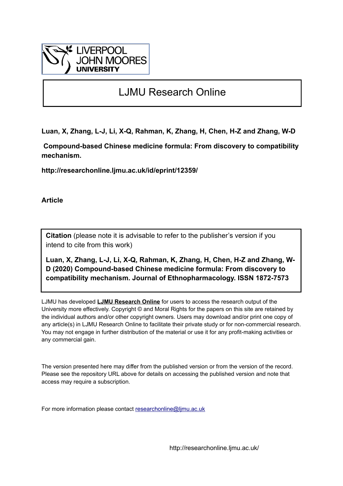

# LJMU Research Online

**Luan, X, Zhang, L-J, Li, X-Q, Rahman, K, Zhang, H, Chen, H-Z and Zhang, W-D**

 **Compound-based Chinese medicine formula: From discovery to compatibility mechanism.**

**http://researchonline.ljmu.ac.uk/id/eprint/12359/**

**Article**

**Citation** (please note it is advisable to refer to the publisher's version if you intend to cite from this work)

**Luan, X, Zhang, L-J, Li, X-Q, Rahman, K, Zhang, H, Chen, H-Z and Zhang, W-D (2020) Compound-based Chinese medicine formula: From discovery to compatibility mechanism. Journal of Ethnopharmacology. ISSN 1872-7573** 

LJMU has developed **[LJMU Research Online](http://researchonline.ljmu.ac.uk/)** for users to access the research output of the University more effectively. Copyright © and Moral Rights for the papers on this site are retained by the individual authors and/or other copyright owners. Users may download and/or print one copy of any article(s) in LJMU Research Online to facilitate their private study or for non-commercial research. You may not engage in further distribution of the material or use it for any profit-making activities or any commercial gain.

The version presented here may differ from the published version or from the version of the record. Please see the repository URL above for details on accessing the published version and note that access may require a subscription.

For more information please contact [researchonline@ljmu.ac.uk](mailto:researchonline@ljmu.ac.uk)

http://researchonline.ljmu.ac.uk/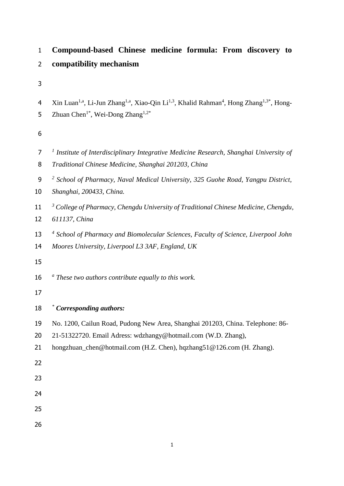| $\mathbf{1}$        | Compound-based Chinese medicine formula: From discovery to                                                                                                                                                               |  |  |
|---------------------|--------------------------------------------------------------------------------------------------------------------------------------------------------------------------------------------------------------------------|--|--|
| $\overline{2}$      | compatibility mechanism                                                                                                                                                                                                  |  |  |
| 3                   |                                                                                                                                                                                                                          |  |  |
| 4<br>5              | Xin Luan <sup>1,a</sup> , Li-Jun Zhang <sup>1,a</sup> , Xiao-Qin Li <sup>1,3</sup> , Khalid Rahman <sup>4</sup> , Hong Zhang <sup>1,3*</sup> , Hong-<br>Zhuan Chen <sup>1*</sup> , Wei-Dong Zhang <sup>1,2*</sup>        |  |  |
| 6                   |                                                                                                                                                                                                                          |  |  |
| $\overline{7}$<br>8 | <sup>1</sup> Institute of Interdisciplinary Integrative Medicine Research, Shanghai University of<br>Traditional Chinese Medicine, Shanghai 201203, China                                                                |  |  |
| 9<br>10             | <sup>2</sup> School of Pharmacy, Naval Medical University, 325 Guohe Road, Yangpu District,<br>Shanghai, 200433, China.                                                                                                  |  |  |
| 11<br>12            | <sup>3</sup> College of Pharmacy, Chengdu University of Traditional Chinese Medicine, Chengdu,<br>611137, China                                                                                                          |  |  |
| 13<br>14<br>15      | <sup>4</sup> School of Pharmacy and Biomolecular Sciences, Faculty of Science, Liverpool John<br>Moores University, Liverpool L3 3AF, England, UK                                                                        |  |  |
| 16<br>17            | $\alpha$ These two authors contribute equally to this work.                                                                                                                                                              |  |  |
| 18                  | * Corresponding authors:                                                                                                                                                                                                 |  |  |
| 19<br>20<br>21      | No. 1200, Cailun Road, Pudong New Area, Shanghai 201203, China. Telephone: 86-<br>21-51322720. Email Adress: wdzhangy@hotmail.com (W.D. Zhang),<br>hongzhuan_chen@hotmail.com (H.Z. Chen), hqzhang51@126.com (H. Zhang). |  |  |
| 22                  |                                                                                                                                                                                                                          |  |  |
| 23                  |                                                                                                                                                                                                                          |  |  |
| 24                  |                                                                                                                                                                                                                          |  |  |
| 25                  |                                                                                                                                                                                                                          |  |  |
| 26                  |                                                                                                                                                                                                                          |  |  |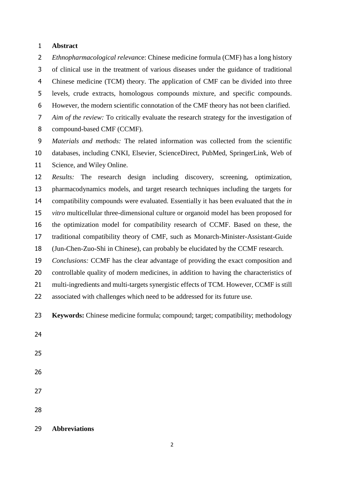#### **Abstract**

 *Ethnopharmacological relevan*ce: Chinese medicine formula (CMF) has a long history of clinical use in the treatment of various diseases under the guidance of traditional Chinese medicine (TCM) theory. The application of CMF can be divided into three levels, crude extracts, homologous compounds mixture, and specific compounds. However, the modern scientific connotation of the CMF theory has not been clarified. *Aim of the review:* To critically evaluate the research strategy for the investigation of compound-based CMF (CCMF).

 *Materials and methods:* The related information was collected from the scientific databases, including CNKI, Elsevier, ScienceDirect, PubMed, SpringerLink, Web of Science, and Wiley Online.

 *Results:* The research design including discovery, screening, optimization, pharmacodynamics models, and target research techniques including the targets for compatibility compounds were evaluated. Essentially it has been evaluated that the *in vitro* multicellular three-dimensional culture or organoid model has been proposed for the optimization model for compatibility research of CCMF. Based on these, the traditional compatibility theory of CMF, such as Monarch-Minister-Assistant-Guide (Jun-Chen-Zuo-Shi in Chinese), can probably be elucidated by the CCMF research.

 *Conclusions:* CCMF has the clear advantage of providing the exact composition and controllable quality of modern medicines, in addition to having the characteristics of 21 multi-ingredients and multi-targets synergistic effects of TCM. However, CCMF is still associated with challenges which need to be addressed for its future use.

- **Keywords:** Chinese medicine formula; compound; target; compatibility; methodology
- 
- 
- 
- 
- 
- **Abbreviations**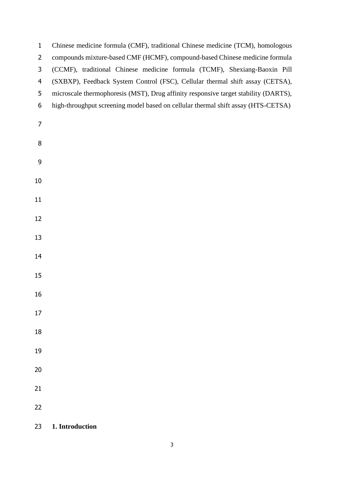| $\mathbf{1}$   | Chinese medicine formula (CMF), traditional Chinese medicine (TCM), homologous      |
|----------------|-------------------------------------------------------------------------------------|
| $\overline{2}$ | compounds mixture-based CMF (HCMF), compound-based Chinese medicine formula         |
| 3              | (CCMF), traditional Chinese medicine formula (TCMF), Shexiang-Baoxin Pill           |
| $\overline{4}$ | (SXBXP), Feedback System Control (FSC), Cellular thermal shift assay (CETSA),       |
| 5              | microscale thermophoresis (MST), Drug affinity responsive target stability (DARTS), |
| 6              | high-throughput screening model based on cellular thermal shift assay (HTS-CETSA)   |
| 7              |                                                                                     |
| 8              |                                                                                     |
| 9              |                                                                                     |
| 10             |                                                                                     |
| 11             |                                                                                     |
| 12             |                                                                                     |
| 13             |                                                                                     |
| 14             |                                                                                     |
| 15             |                                                                                     |
| 16             |                                                                                     |
| 17             |                                                                                     |
| 18             |                                                                                     |
| 19             |                                                                                     |
| 20             |                                                                                     |
| 21             |                                                                                     |
| 22             |                                                                                     |
| 23             | 1. Introduction                                                                     |

**1. Introduction**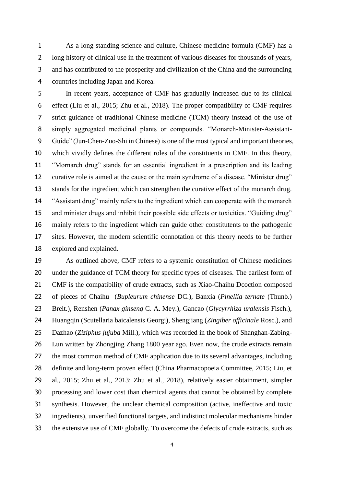As a long-standing science and culture, Chinese medicine formula (CMF) has a long history of clinical use in the treatment of various diseases for thousands of years, and has contributed to the prosperity and civilization of the China and the surrounding countries including Japan and Korea.

 In recent years, acceptance of CMF has gradually increased due to its clinical effect (Liu et al., 2015; Zhu et al., 2018). The proper compatibility of CMF requires strict guidance of traditional Chinese medicine (TCM) theory instead of the use of simply aggregated medicinal plants or compounds. "Monarch-Minister-Assistant- Guide" (Jun-Chen-Zuo-Shi in Chinese) is one of the most typical and important theories, which vividly defines the different roles of the constituents in CMF. In this theory, "Mornarch drug" stands for an essential ingredient in a prescription and its leading curative role is aimed at the cause or the main syndrome of a disease. "Minister drug" stands for the ingredient which can strengthen the curative effect of the monarch drug. "Assistant drug" mainly refers to the ingredient which can cooperate with the monarch and minister drugs and inhibit their possible side effects or toxicities. "Guiding drug" mainly refers to the ingredient which can guide other constitutents to the pathogenic sites. However, the modern scientific connotation of this theory needs to be further explored and explained.

 As outlined above, CMF refers to a systemic constitution of Chinese medicines under the guidance of TCM theory for specific types of diseases. The earliest form of CMF is the compatibility of crude extracts, such as Xiao-Chaihu Dcoction composed of pieces of Chaihu (*Bupleurum chinense* DC.), Banxia (*Pinellia ternate* (Thunb.) Breit.), Renshen (*Panax ginseng* C. A. Mey.), Gancao (*Glycyrrhiza uralensis* Fisch.), Huangqin (Scutellaria baicalensis Georgi), Shengjiang (*Zingiber officinale* Rosc.), and Dazhao (*Ziziphus jujuba* Mill.), which was recorded in the book of Shanghan-Zabing- Lun written by Zhongjing Zhang 1800 year ago. Even now, the crude extracts remain the most common method of CMF application due to its several advantages, including definite and long-term proven effect [\(China Pharmacopoeia Committee, 2015;](#page-34-0) Liu, et [al., 2015;](#page-34-0) Zhu et al., 2013; Zhu et al., 2018), relatively easier obtainment, simpler processing and lower cost than chemical agents that cannot be obtained by complete synthesis. However, the unclear chemical composition (active, ineffective and toxic ingredients), unverified functional targets, and indistinct molecular mechanisms hinder the extensive use of CMF globally. To overcome the defects of crude extracts, such as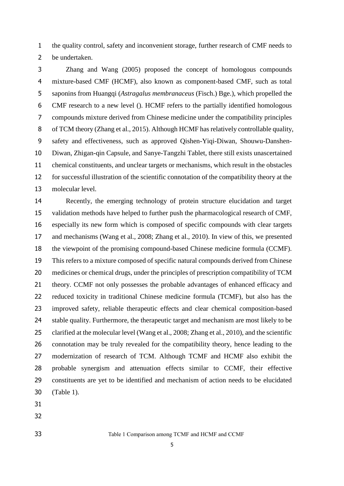the quality control, safety and inconvenient storage, further research of CMF needs to be undertaken.

 [Zhang and Wang](#page-34-0) (2005) proposed the concept of homologous compounds mixture-based CMF (HCMF), also known as component-based CMF, such as total saponins from Huangqi (*Astragalus membranaceus* (Fisch.) Bge.), which propelled the CMF research to a new level (). HCMF refers to the partially identified homologous compounds mixture derived from Chinese medicine under the compatibility principles of TCM theory [\(Zhang et al., 2015\)](#page-35-0). Although HCMF has relatively controllable quality, safety and effectiveness, such as approved Qishen-Yiqi-Diwan, Shouwu-Danshen- Diwan, Zhigan-qin Capsule, and Sanye-Tangzhi Tablet, there still exists unascertained chemical constituents, and unclear targets or mechanisms, which result in the obstacles for successful illustration of the scientific connotation of the compatibility theory at the molecular level.

 Recently, the emerging technology of protein structure elucidation and target validation methods have helped to further push the pharmacological research of CMF, especially its new form which is composed of specific compounds with clear targets and mechanisms [\(Wang et al., 200](#page-35-0)8; Zhang et al., 2010). In view of this, we presented the viewpoint of the promising compound-based Chinese medicine formula (CCMF). This refers to a mixture composed of specific natural compounds derived from Chinese medicines or chemical drugs, under the principles of prescription compatibility of TCM theory. CCMF not only possesses the probable advantages of enhanced efficacy and reduced toxicity in traditional Chinese medicine formula (TCMF), but also has the improved safety, reliable therapeutic effects and clear chemical composition-based stable quality. Furthermore, the therapeutic target and mechanism are most likely to be clarified at the molecular level (Wang [et al., 2008;](#page-35-0) Zhang et al., 2010), and the scientific connotation may be truly revealed for the compatibility theory, hence leading to the modernization of research of TCM. Although TCMF and HCMF also exhibit the probable synergism and attenuation effects similar to CCMF, their effective constituents are yet to be identified and mechanism of action needs to be elucidated (Table 1).

- 
- 

Table 1 Comparison among TCMF and HCMF and CCMF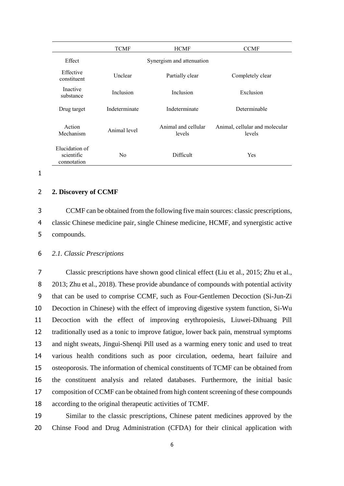|                                             | <b>TCMF</b>               | <b>HCMF</b>                   | <b>CCMF</b>                              |
|---------------------------------------------|---------------------------|-------------------------------|------------------------------------------|
| Effect                                      | Synergism and attenuation |                               |                                          |
| Effective<br>constituent                    | Unclear                   | Partially clear               | Completely clear                         |
| Inactive<br>substance                       | Inclusion                 | Inclusion                     | Exclusion                                |
| Drug target                                 | Indeterminate             | Indeterminate                 | Determinable                             |
| Action<br>Mechanism                         | Animal level              | Animal and cellular<br>levels | Animal, cellular and molecular<br>levels |
| Elucidation of<br>scientific<br>connotation | N <sub>0</sub>            | Difficult                     | <b>Yes</b>                               |

```
1
```
#### 2 **2. Discovery of CCMF**

3 CCMF can be obtained from the following five main sources: classic prescriptions, 4 classic Chinese medicine pair, single Chinese medicine, HCMF, and synergistic active 5 compounds.

6 *2.1. Classic Prescriptions*

 Classic prescriptions have shown good clinical effect [\(Liu](#page-33-0) et al., 2015; Zhu et al., 2013; Zhu et al., 2018). These provide abundance of compounds with potential activity that can be used to comprise CCMF, such as Four-Gentlemen Decoction (Si-Jun-Zi Decoction in Chinese) with the effect of improving digestive system function, Si-Wu Decoction with the effect of improving erythropoiesis, Liuwei-Dihuang Pill traditionally used as a tonic to improve fatigue, lower back pain, menstrual symptoms and night sweats, Jingui-Shenqi Pill used as a warming enery tonic and used to treat various health conditions such as poor circulation, oedema, heart failuire and osteoporosis. The information of chemical constituents of TCMF can be obtained from the constituent analysis and related databases. Furthermore, the initial basic composition of CCMF can be obtained from high content screening of these compounds according to the original therapeutic activities of TCMF.

19 Similar to the classic prescriptions, Chinese patent medicines approved by the 20 Chinse Food and Drug Administration (CFDA) for their clinical application with

6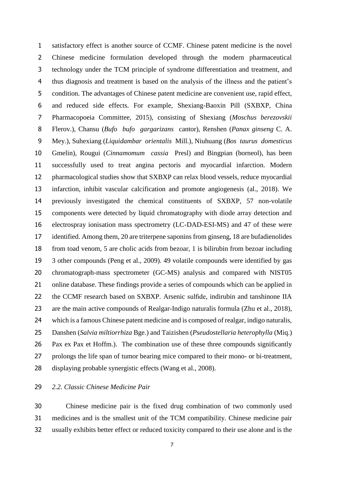satisfactory effect is another source of CCMF. Chinese patent medicine is the novel Chinese medicine formulation developed through the modern pharmaceutical technology under the TCM principle of syndrome differentiation and treatment, and thus diagnosis and treatment is based on the analysis of the illness and the patient's condition. The advantages of Chinese patent medicine are convenient use, rapid effect, and reduced side effects. For example, Shexiang-Baoxin Pill (SXBXP, China Pharmacopoeia Committee, 2015), consisting of Shexiang (*Moschus berezovskii* Flerov.), Chansu (*Bufo bufo gargarizans* cantor), Renshen (*Panax ginseng* C. A. Mey.), Suhexiang (*Liquidambar orientalis* Mill.), Niuhuang (*Bos taurus domesticus*  Gmelin), Rougui (*Cinnamomum cassia* Presl) and Bingpian (borneol), has been successfully used to treat angina pectoris and myocardial infarction. Modern pharmacological studies show that SXBXP can relax blood vessels, reduce myocardial infarction, inhibit vascular calcification and promote angiogenesis (al., 2018). We previously investigated the chemical constituents of SXBXP, 57 non-volatile components were detected by liquid chromatography with diode array detection and electrospray ionisation mass spectrometry (LC-DAD-ESI-MS) and 47 of these were identified. Among them, 20 are triterpene saponins from ginseng, 18 are bufadienolides from toad venom, 5 are cholic acids from bezoar, 1 is bilirubin from bezoar including 3 other compounds [\(Peng et al., 2009\)](#page-32-0). 49 volatile compounds were identified by gas chromatograph-mass spectrometer (GC-MS) analysis and compared with NIST05 online database. These findings provide a series of compounds which can be applied in the CCMF research based on SXBXP. Arsenic sulfide, indirubin and tanshinone IIA are the main active compounds of Realgar-Indigo naturalis formula (Zhu et al., 2018), which is a famous Chinese patent medicine and is composed of realgar, indigo naturalis, Danshen (*Salvia miltiorrhiza* Bge.) and Taizishen (*Pseudostellaria heterophylla* (Miq.) Pax ex Pax et Hoffm.). The combination use of these three compounds significantly prolongs the life span of tumor bearing mice compared to their mono- or bi-treatment, displaying probable synergistic effects [\(Wang et al., 2008\)](#page-33-1).

# *2.2. Classic Chinese Medicine Pair*

 Chinese medicine pair is the fixed drug combination of two commonly used medicines and is the smallest unit of the TCM compatibility. Chinese medicine pair usually exhibits better effect or reduced toxicity compared to their use alone and is the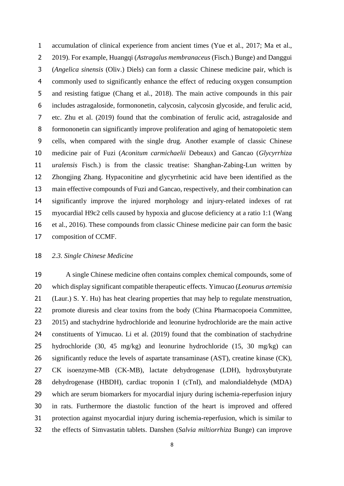accumulation of clinical experience from ancient times [\(Yue et al., 2017; Ma et al.,](#page-35-1)  [2019\).](#page-35-1) For example, Huangqi (*Astragalus membranaceus* (Fisch.) Bunge) and Danggui (*Angelica sinensis* (Oliv.) Diels) can form a classic Chinese medicine pair, which is commonly used to significantly enhance the effect of reducing oxygen consumption and resisting fatigue [\(Chang et al., 2018\).](#page-35-1) The main active compounds in this pair includes astragaloside, formononetin, calycosin, calycosin glycoside, and ferulic acid, etc. [Zhu et al. \(2019\)](#page-35-1) found that the combination of ferulic acid, astragaloside and formononetin can significantly improve proliferation and aging of hematopoietic stem cells, when compared with the single drug. Another example of classic Chinese medicine pair of Fuzi (*Aconitum carmichaelii* Debeaux) and Gancao (*Glycyrrhiza uralensis* Fisch.) is from the classic treatise: Shanghan-Zabing-Lun written by Zhongjing Zhang. Hypaconitine and glycyrrhetinic acid have been identified as the main effective compounds of Fuzi and Gancao, respectively, and their combination can significantly improve the injured morphology and injury-related indexes of rat myocardial H9c2 cells caused by hypoxia and glucose deficiency at a ratio 1:1 [\(Wang](#page-33-2)  [et al., 2016\)](#page-33-2). These compounds from classic Chinese medicine pair can form the basic composition of CCMF.

# *2.3. Single Chinese Medicine*

 A single Chinese medicine often contains complex chemical compounds, some of which display significant compatible therapeutic effects. Yimucao (*Leonurus artemisia* (Laur.) S. Y. Hu) has heat clearing properties that may help to regulate menstruation, promote diuresis and clear toxins from the body [\(China Pharmacopoeia Committee,](#page-33-3)  [2015\)](#page-33-3) and stachydrine hydrochloride and leonurine hydrochloride are the main active constituents of Yimucao. [Li et al.](#page-31-0) (2019) found that the combination of stachydrine hydrochloride (30, 45 mg/kg) and leonurine hydrochloride (15, 30 mg/kg) can significantly reduce the levels of aspartate transaminase (AST), creatine kinase (CK), CK isoenzyme-MB (CK-MB), lactate dehydrogenase (LDH), hydroxybutyrate dehydrogenase (HBDH), cardiac troponin I (cTnI), and malondialdehyde (MDA) which are serum biomarkers for myocardial injury during ischemia-reperfusion injury in rats. Furthermore the diastolic function of the heart is improved and offered protection against myocardial injury during ischemia-reperfusion, which is similar to the effects of Simvastatin tablets. Danshen (*Salvia miltiorrhiza* Bunge) can improve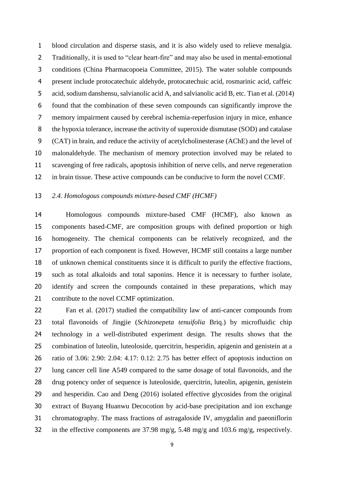blood circulation and disperse stasis, and it is also widely used to relieve menalgia. Traditionally, it is used to "clear heart-fire" and may also be used in mental-emotional conditions [\(China Pharmacopoeia Committee, 2015](#page-33-3)). The water soluble compounds present include protocatechuic aldehyde, protocatechuic acid, rosmarinic acid, caffeic acid, sodium danshensu, salvianolic acid A, and salvianolic acid B, etc. [Tian et al.](#page-33-3) (2014) found that the combination of these seven compounds can significantly improve the memory impairment caused by cerebral ischemia-reperfusion injury in mice, enhance the hypoxia tolerance, increase the activity of superoxide dismutase (SOD) and catalase (CAT) in brain, and reduce the activity of acetylcholinesterase (AChE) and the level of malonaldehyde. The mechanism of memory protection involved may be related to scavenging of free radicals, apoptosis inhibition of nerve cells, and nerve regeneration in brain tissue. These active compounds can be conducive to form the novel CCMF.

#### *2.4. Homologous compounds mixture-based CMF (HCMF)*

 Homologous compounds mixture-based CMF (HCMF), also known as components based-CMF, are composition groups with defined proportion or high homogeneity. The chemical components can be relatively recognized, and the proportion of each component is fixed. However, HCMF still contains a large number of unknown chemical constituents since it is difficult to purify the effective fractions, such as total alkaloids and total saponins. Hence it is necessary to further isolate, identify and screen the compounds contained in these preparations, which may contribute to the novel CCMF optimization.

 Fan et al. [\(2017\)](#page-30-0) studied the compatibility law of anti-cancer compounds from total flavonoids of Jingjie (*Schizonepeta tenuifolia* Briq.) by microfluidic chip technology in a well-distributed experiment design. The results shows that the combination of luteolin, luteoloside, quercitrin, hesperidin, apigenin and genistein at a ratio of 3.06: 2.90: 2.04: 4.17: 0.12: 2.75 has better effect of apoptosis induction on lung cancer cell line A549 compared to the same dosage of total flavonoids, and the drug potency order of sequence is luteoloside, quercitrin, luteolin, apigenin, genistein and hesperidin. [Cao and Deng](#page-34-0) (2016) isolated effective glycosides from the original extract of Buyang Huanwu Decocotion by acid-base precipitation and ion exchange chromatography. The mass fractions of astragaloside IV, amygdalin and paeoniflorin in the effective components are 37.98 mg/g, 5.48 mg/g and 103.6 mg/g, respectively.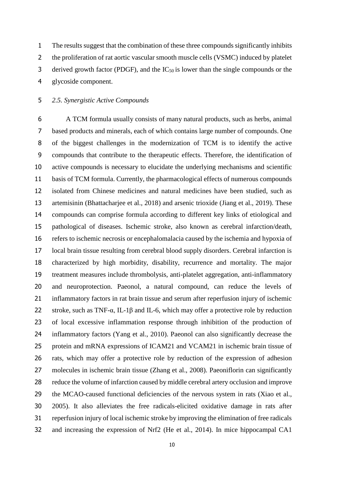The results suggest that the combination of these three compounds significantly inhibits 2 the proliferation of rat aortic vascular smooth muscle cells (VSMC) induced by platelet 3 derived growth factor (PDGF), and the  $IC_{50}$  is lower than the single compounds or the glycoside component.

# *2.5. Synergistic Active Compounds*

 A TCM formula usually consists of many natural products, such as herbs, animal based products and minerals, each of which contains large number of compounds. One of the biggest challenges in the modernization of TCM is to identify the active compounds that contribute to the therapeutic effects. Therefore, the identification of active compounds is necessary to elucidate the underlying mechanisms and scientific basis of TCM formula. Currently, the pharmacological effects of numerous compounds isolated from Chinese medicines and natural medicines have been studied, such as artemisinin [\(Bhattacharjee et al., 2018\)](#page-29-0) and arsenic trioxide [\(Jiang et al., 2019\)](#page-31-1). These compounds can comprise formula according to different key links of etiological and pathological of diseases. Ischemic stroke, also known as cerebral infarction/death, refers to ischemic necrosis or encephalomalacia caused by the ischemia and hypoxia of local brain tissue resulting from cerebral blood supply disorders. Cerebral infarction is characterized by high morbidity, disability, recurrence and mortality. The major treatment measures include thrombolysis, anti-platelet aggregation, anti-inflammatory and neuroprotection. Paeonol, a natural compound, can reduce the levels of inflammatory factors in rat brain tissue and serum after reperfusion injury of ischemic 22 stroke, such as TNF- $\alpha$ , IL-1 $\beta$  and IL-6, which may offer a protective role by reduction of local excessive inflammation response through inhibition of the production of inflammatory factors [\(Yang et al., 2010\)](#page-34-1). Paeonol can also significantly decrease the protein and mRNA expressions of ICAM21 and VCAM21 in ischemic brain tissue of rats, which may offer a protective role by reduction of the expression of adhesion molecules in ischemic brain tissue [\(Zhang et al.,](#page-35-2) 2008). Paeoniflorin can significantly reduce the volume of infarction caused by middle cerebral artery occlusion and improve the MCAO-caused functional deficiencies of the nervous system in rats [\(Xiao et al.,](#page-33-4)  [2005\)](#page-33-4). It also alleviates the free radicals-elicited oxidative damage in rats after reperfusion injury of local ischemic stroke by improving the elimination of free radicals and increasing the expression of Nrf2 [\(He et al., 2014\)](#page-30-1). In mice hippocampal CA1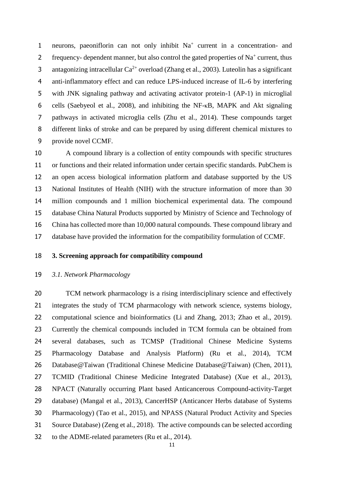1 neurons, paeoniflorin can not only inhibit Na<sup>+</sup> current in a concentration- and 2 frequency- dependent manner, but also control the gated properties of  $Na<sup>+</sup>$  current, thus 3 antagonizing intracellular  $Ca^{2+}$  overload [\(Zhang et al., 2003\)](#page-34-2). Luteolin has a significant anti-inflammatory effect and can reduce LPS-induced increase of IL-6 by interfering with JNK signaling pathway and activating activator protein-1 (AP-1) in microglial cells [\(Saebyeol et al., 2008\)](#page-32-1), and inhibiting the NF-κB, MAPK and Akt signaling pathways in activated microglia cells [\(Zhu et al., 2014\)](#page-35-3). These compounds target different links of stroke and can be prepared by using different chemical mixtures to provide novel CCMF.

 A compound library is a collection of entity compounds with specific structures or functions and their related information under certain specific standards. PubChem is an open access biological information platform and database supported by the US National Institutes of Health (NIH) with the structure information of more than 30 million compounds and 1 million biochemical experimental data. The compound database China Natural Products supported by Ministry of Science and Technology of China has collected more than 10,000 natural compounds. These compound library and database have provided the information for the compatibility formulation of CCMF.

#### **3. Screening approach for compatibility compound**

#### *3.1. Network Pharmacology*

 TCM network pharmacology is a rising interdisciplinary science and effectively integrates the study of TCM pharmacology with network science, systems biology, computational science and bioinformatics [\(Li and Zhang, 2013;](#page-31-2) [Zhao et al., 2019\)](#page-35-4). Currently the chemical compounds included in TCM formula can be obtained from several databases, such as TCMSP (Traditional Chinese Medicine Systems Pharmacology Database and Analysis Platform) [\(Ru et al., 2014\)](#page-32-2), TCM Database@Taiwan (Traditional Chinese Medicine Database@Taiwan) [\(Chen, 2011\)](#page-29-1), TCMID (Traditional Chinese Medicine Integrated Database) [\(Xue et al., 2013\)](#page-34-3), NPACT (Naturally occurring Plant based Anticancerous Compound-activity-Target database) [\(Mangal et al., 2013\)](#page-31-3), CancerHSP (Anticancer Herbs database of Systems Pharmacology) [\(Tao et al.,](#page-32-3) 2015), and NPASS (Natural Product Activity and Species Source Database) [\(Zeng et al., 2018\)](#page-34-4). The active compounds can be selected according to the ADME-related parameters [\(Ru et al., 2014\)](#page-32-2).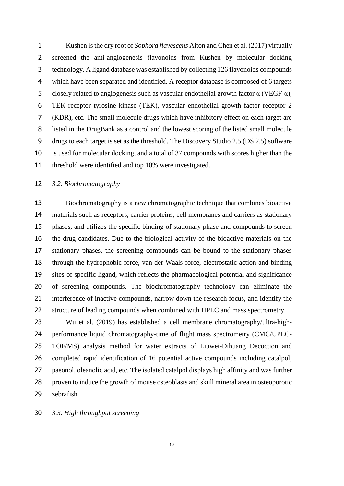Kushen is the dry root of *Sophora flavescens* Aiton and [Chen et al.](#page-29-2) (2017) virtually screened the anti-angiogenesis flavonoids from Kushen by molecular docking technology. A ligand database was established by collecting 126 flavonoids compounds which have been separated and identified. A receptor database is composed of 6 targets 5 closely related to angiogenesis such as vascular endothelial growth factor  $α$  (VEGF- $α$ ), TEK receptor tyrosine kinase (TEK), vascular endothelial growth factor receptor 2 (KDR), etc. The small molecule drugs which have inhibitory effect on each target are listed in the DrugBank as a control and the lowest scoring of the listed small molecule drugs to each target is set as the threshold. The Discovery Studio 2.5 (DS 2.5) software is used for molecular docking, and a total of 37 compounds with scores higher than the threshold were identified and top 10% were investigated.

# *3.2. Biochromatography*

 Biochromatography is a new chromatographic technique that combines bioactive materials such as receptors, carrier proteins, cell membranes and carriers as stationary phases, and utilizes the specific binding of stationary phase and compounds to screen the drug candidates. Due to the biological activity of the bioactive materials on the stationary phases, the screening compounds can be bound to the stationary phases through the hydrophobic force, van der Waals force, electrostatic action and binding sites of specific ligand, which reflects the pharmacological potential and significance of screening compounds. The biochromatography technology can eliminate the interference of inactive compounds, narrow down the research focus, and identify the 22 structure of leading compounds when combined with HPLC and mass spectrometry.

 [Wu et al.](#page-33-5) (2019) has established a cell membrane chromatography/ultra-high- performance liquid chromatography-time of flight mass spectrometry (CMC/UPLC- TOF/MS) analysis method for water extracts of Liuwei-Dihuang Decoction and completed rapid identification of 16 potential active compounds including catalpol, paeonol, oleanolic acid, etc. The isolated catalpol displays high affinity and was further proven to induce the growth of mouse osteoblasts and skull mineral area in osteoporotic zebrafish.

*3.3. High throughput screening*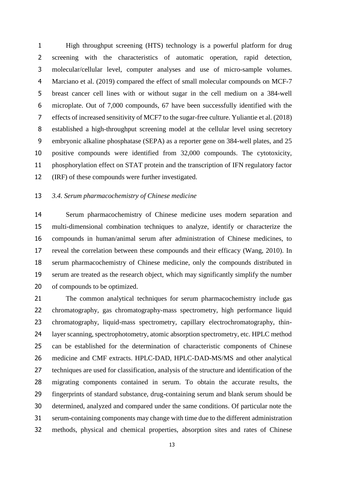High throughput screening (HTS) technology is a powerful platform for drug screening with the characteristics of automatic operation, rapid detection, molecular/cellular level, computer analyses and use of micro-sample volumes. [Marciano et al.](#page-31-4) (2019) compared the effect of small molecular compounds on MCF-7 breast cancer cell lines with or without sugar in the cell medium on a 384-well microplate. Out of 7,000 compounds, 67 have been successfully identified with the effects of increased sensitivity of MCF7 to the sugar-free culture. [Yuliantie et al.](#page-34-5) (2018) established a high-throughput screening model at the cellular level using secretory embryonic alkaline phosphatase (SEPA) as a reporter gene on 384-well plates, and 25 positive compounds were identified from 32,000 compounds. The cytotoxicity, phosphorylation effect on STAT protein and the transcription of IFN regulatory factor (IRF) of these compounds were further investigated.

#### *3.4. Serum pharmacochemistry of Chinese medicine*

 Serum pharmacochemistry of Chinese medicine uses modern separation and multi-dimensional combination techniques to analyze, identify or characterize the compounds in human/animal serum after administration of Chinese medicines, to reveal the correlation between these compounds and their efficacy [\(Wang, 2010\)](#page-33-6). In serum pharmacochemistry of Chinese medicine, only the compounds distributed in serum are treated as the research object, which may significantly simplify the number of compounds to be optimized.

 The common analytical techniques for serum pharmacochemistry include gas chromatography, gas chromatography-mass spectrometry, high performance liquid chromatography, liquid-mass spectrometry, capillary electrochromatography, thin- layer scanning, spectrophotometry, atomic absorption spectrometry, etc. HPLC method can be established for the determination of characteristic components of Chinese medicine and CMF extracts. HPLC-DAD, HPLC-DAD-MS/MS and other analytical techniques are used for classification, analysis of the structure and identification of the migrating components contained in serum. To obtain the accurate results, the fingerprints of standard substance, drug-containing serum and blank serum should be determined, analyzed and compared under the same conditions. Of particular note the serum-containing components may change with time due to the different administration methods, physical and chemical properties, absorption sites and rates of Chinese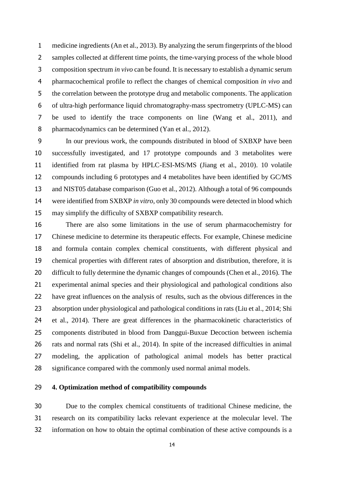medicine ingredients [\(An et al., 2013\)](#page-29-3). By analyzing the serum fingerprints of the blood samples collected at different time points, the time-varying process of the whole blood composition spectrum *in vivo* can be found. It is necessary to establish a dynamic serum pharmacochemical profile to reflect the changes of chemical composition *in vivo* and the correlation between the prototype drug and metabolic components. The application of ultra-high performance liquid chromatography-mass spectrometry (UPLC-MS) can be used to identify the trace components on line [\(Wang et al., 2011\)](#page-33-7), and 8 pharmacodynamics can be determined [\(Yan et al., 2012\)](#page-34-6).

 In our previous work, the compounds distributed in blood of SXBXP have been successfully investigated, and 17 prototype compounds and 3 metabolites were identified from rat plasma by HPLC-ESI-MS/MS [\(Jiang et al., 2010\)](#page-31-5). 10 volatile compounds including 6 prototypes and 4 metabolites have been identified by GC/MS and NIST05 database comparison [\(Guo et al., 2012\)](#page-30-2). Although a total of 96 compounds were identified from SXBXP *in vitro*, only 30 compounds were detected in blood which may simplify the difficulty of SXBXP compatibility research.

 There are also some limitations in the use of serum pharmacochemistry for Chinese medicine to determine its therapeutic effects. For example, Chinese medicine and formula contain complex chemical constituents, with different physical and chemical properties with different rates of absorption and distribution, therefore, it is difficult to fully determine the dynamic changes of compounds [\(Chen et al., 2016\)](#page-29-4). The experimental animal species and their physiological and pathological conditions also have great influences on the analysis of results, such as the obvious differences in the absorption under physiological and pathological conditions in rats [\(Liu et al., 2014;](#page-31-6) [Shi](#page-32-4)  [et al., 2014\)](#page-32-4). There are great differences in the pharmacokinetic characteristics of components distributed in blood from Danggui-Buxue Decoction between ischemia rats and normal rats [\(Shi et al., 2014\)](#page-32-4). In spite of the increased difficulties in animal modeling, the application of pathological animal models has better practical significance compared with the commonly used normal animal models.

# **4. Optimization method of compatibility compounds**

 Due to the complex chemical constituents of traditional Chinese medicine, the research on its compatibility lacks relevant experience at the molecular level. The information on how to obtain the optimal combination of these active compounds is a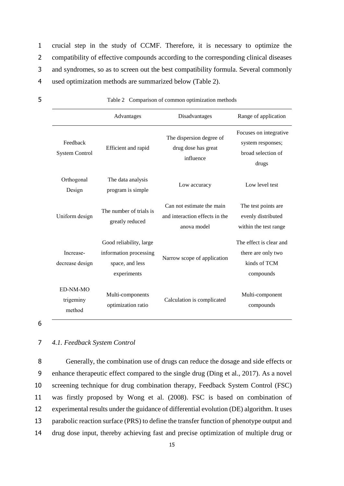crucial step in the study of CCMF. Therefore, it is necessary to optimize the 2 compatibility of effective compounds according to the corresponding clinical diseases and syndromes, so as to screen out the best compatibility formula. Several commonly used optimization methods are summarized below (Table 2).

|                                   | Advantages                                                                          | Disadvantages                                                              | Range of application                                                       |
|-----------------------------------|-------------------------------------------------------------------------------------|----------------------------------------------------------------------------|----------------------------------------------------------------------------|
| Feedback<br><b>System Control</b> | Efficient and rapid                                                                 | The dispersion degree of<br>drug dose has great<br>influence               | Focuses on integrative<br>system responses;<br>broad selection of<br>drugs |
| Orthogonal<br>Design              | The data analysis<br>program is simple                                              | Low accuracy                                                               | Low level test                                                             |
| Uniform design                    | The number of trials is<br>greatly reduced                                          | Can not estimate the main<br>and interaction effects in the<br>anova model | The test points are<br>evenly distributed<br>within the test range         |
| Increase-<br>decrease design      | Good reliability, large<br>information processing<br>space, and less<br>experiments | Narrow scope of application                                                | The effect is clear and<br>there are only two<br>kinds of TCM<br>compounds |
| ED-NM-MO<br>trigeminy<br>method   | Multi-components<br>optimization ratio                                              | Calculation is complicated                                                 | Multi-component<br>compounds                                               |

5 Table 2 Comparison of common optimization methods

6

#### 7 *4.1. Feedback System Control*

 Generally, the combination use of drugs can reduce the dosage and side effects or enhance therapeutic effect compared to the single drug (Ding [et al., 2017\)](#page-33-5). As a novel screening technique for drug combination therapy, Feedback System Control (FSC) was firstly proposed by Wong et al. [\(2008\)](#page-33-5). FSC is based on combination of experimental results under the guidance of differential evolution (DE) algorithm. It uses parabolic reaction surface (PRS) to define the transfer function of phenotype output and drug dose input, thereby achieving fast and precise optimization of multiple drug or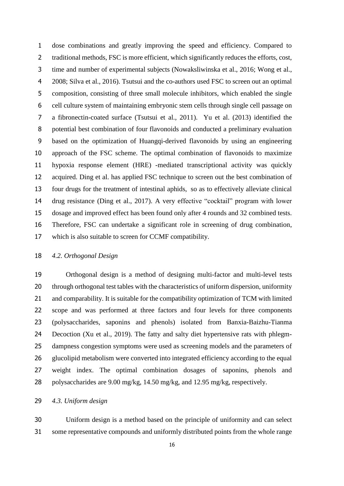dose combinations and greatly improving the speed and efficiency. Compared to 2 traditional methods, FSC is more efficient, which significantly reduces the efforts, cost, time and number of experimental subjects [\(Nowaksliwinska et al., 2016;](#page-32-5) [Wong](#page-33-5) et al., [2008;](#page-33-5) [Silva et al., 2016\)](#page-32-6). Tsutsui and the co-authors used FSC to screen out an optimal composition, consisting of three small molecule inhibitors, which enabled the single cell culture system of maintaining embryonic stem cells through single cell passage on a fibronectin-coated surface [\(Tsutsui et al., 2011\)](#page-33-8). [Yu et al. \(2013\)](#page-34-7) identified the potential best combination of four flavonoids and conducted a preliminary evaluation based on the optimization of Huangqi-derived flavonoids by using an engineering approach of the FSC scheme. The optimal combination of flavonoids to maximize hypoxia response element (HRE) -mediated transcriptional activity was quickly acquired. Ding et al. has applied FSC technique to screen out the best combination of four drugs for the treatment of intestinal aphids, so as to effectively alleviate clinical drug resistance [\(Ding et al., 2017\)](#page-30-3). A very effective "cocktail" program with lower dosage and improved effect has been found only after 4 rounds and 32 combined tests. Therefore, FSC can undertake a significant role in screening of drug combination, which is also suitable to screen for CCMF compatibility.

## *4.2. Orthogonal Design*

 Orthogonal design is a method of designing multi-factor and multi-level tests through orthogonal test tables with the characteristics of uniform dispersion, uniformity 21 and comparability. It is suitable for the compatibility optimization of TCM with limited scope and was performed at three factors and four levels for three components (polysaccharides, saponins and phenols) isolated from Banxia-Baizhu-Tianma Decoction [\(Xu et al., 2019\)](#page-34-8). The fatty and salty diet hypertensive rats with phlegm- dampness congestion symptoms were used as screening models and the parameters of glucolipid metabolism were converted into integrated efficiency according to the equal weight index. The optimal combination dosages of saponins, phenols and polysaccharides are 9.00 mg/kg, 14.50 mg/kg, and 12.95 mg/kg, respectively.

# *4.3. Uniform design*

 Uniform design is a method based on the principle of uniformity and can select some representative compounds and uniformly distributed points from the whole range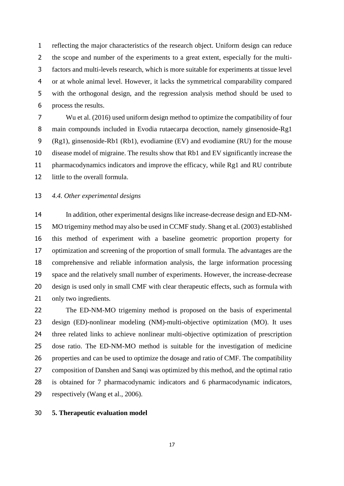reflecting the major characteristics of the research object. Uniform design can reduce the scope and number of the experiments to a great extent, especially for the multi- factors and multi-levels research, which is more suitable for experiments at tissue level or at whole animal level. However, it lacks the symmetrical comparability compared with the orthogonal design, and the regression analysis method should be used to process the results.

 [Wu et al.](#page-33-9) (2016) used uniform design method to optimize the compatibility of four main compounds included in Evodia rutaecarpa decoction, namely ginsenoside-Rg1 (Rg1), ginsenoside-Rb1 (Rb1), evodiamine (EV) and evodiamine (RU) for the mouse disease model of migraine. The results show that Rb1 and EV significantly increase the pharmacodynamics indicators and improve the efficacy, while Rg1 and RU contribute little to the overall formula.

#### *4.4. Other experimental designs*

 In addition, other experimental designs like increase-decrease design and ED-NM- MO trigeminy method may also be used in CCMF study. [Shang et](#page-32-7) al. (2003) established this method of experiment with a baseline geometric proportion property for optimization and screening of the proportion of small formula. The advantages are the comprehensive and reliable information analysis, the large information processing space and the relatively small number of experiments. However, the increase-decrease design is used only in small CMF with clear therapeutic effects, such as formula with only two ingredients.

 The ED-NM-MO trigeminy method is proposed on the basis of experimental design (ED)-nonlinear modeling (NM)-multi-objective optimization (MO). It uses three related links to achieve nonlinear multi-objective optimization of prescription dose ratio. The ED-NM-MO method is suitable for the investigation of medicine properties and can be used to optimize the dosage and ratio of CMF. The compatibility composition of Danshen and Sanqi was optimized by this method, and the optimal ratio is obtained for 7 pharmacodynamic indicators and 6 pharmacodynamic indicators, respectively [\(Wang et al., 2006\)](#page-33-10).

# **5. Therapeutic evaluation model**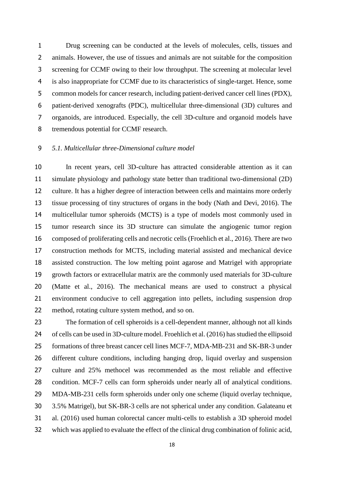Drug screening can be conducted at the levels of molecules, cells, tissues and animals. However, the use of tissues and animals are not suitable for the composition screening for CCMF owing to their low throughput. The screening at molecular level is also inappropriate for CCMF due to its characteristics of single-target. Hence, some common models for cancer research, including patient-derived cancer cell lines (PDX), patient-derived xenografts (PDC), multicellular three-dimensional (3D) cultures and organoids, are introduced. Especially, the cell 3D-culture and organoid models have tremendous potential for CCMF research.

# *5.1. Multicellular three-Dimensional culture model*

 In recent years, cell 3D-culture has attracted considerable attention as it can simulate physiology and pathology state better than traditional two-dimensional (2D) culture. It has a higher degree of interaction between cells and maintains more orderly tissue processing of tiny structures of organs in the body [\(Nath and Devi, 2016\)](#page-32-8). The multicellular tumor spheroids (MCTS) is a type of models most commonly used in tumor research since its 3D structure can simulate the angiogenic tumor region composed of proliferating cells and necrotic cells [\(Froehlich et al., 2016\)](#page-30-4). There are two construction methods for MCTS, including material assisted and mechanical device assisted construction. The low melting point agarose and Matrigel with appropriate growth factors or extracellular matrix are the commonly used materials for 3D-culture [\(Matte et al., 2016\)](#page-32-9). The mechanical means are used to construct a physical environment conducive to cell aggregation into pellets, including suspension drop method, rotating culture system method, and so on.

 The formation of cell spheroids is a cell-dependent manner, although not all kinds of cells can be used in 3D-culture model[. Froehlich et al. \(2016\)](#page-30-4) has studied the ellipsoid formations of three breast cancer cell lines MCF-7, MDA-MB-231 and SK-BR-3 under different culture conditions, including hanging drop, liquid overlay and suspension culture and 25% methocel was recommended as the most reliable and effective 28 condition. MCF-7 cells can form spheroids under nearly all of analytical conditions. MDA-MB-231 cells form spheroids under only one scheme (liquid overlay technique, 3.5% Matrigel), but SK-BR-3 cells are not spherical under any condition. [Galateanu et](#page-30-5)  [al. \(2016\)](#page-30-5) used human colorectal cancer multi-cells to establish a 3D spheroid model which was applied to evaluate the effect of the clinical drug combination of folinic acid,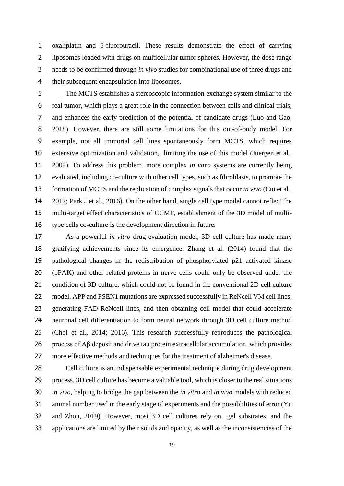oxaliplatin and 5-fluorouracil. These results demonstrate the effect of carrying liposomes loaded with drugs on multicellular tumor spheres. However, the dose range needs to be confirmed through *in vivo* studies for combinational use of three drugs and their subsequent encapsulation into liposomes.

 The MCTS establishes a stereoscopic information exchange system similar to the real tumor, which plays a great role in the connection between cells and clinical trials, and enhances the early prediction of the potential of candidate drugs [\(Luo and Gao,](#page-31-7)  [2018\)](#page-31-7). However, there are still some limitations for this out-of-body model. For example, not all immortal cell lines spontaneously form MCTS, which requires extensive optimization and validation, limiting the use of this model [\(Juergen et al.,](#page-31-8)  [2009\)](#page-31-8). To address this problem, more complex *in vitro* systems are currently being evaluated, including co-culture with other cell types, such as fibroblasts, to promote the formation of MCTS and the replication of complex signals that occur *in vivo* [\(Cui et al.,](#page-29-5)  [2017;](#page-29-5) [Park J et al., 2016\)](#page-32-10). On the other hand, single cell type model cannot reflect the multi-target effect characteristics of CCMF, establishment of the 3D model of multi-type cells co-culture is the development direction in future.

 As a powerful *in vitro* drug evaluation model, 3D cell culture has made many gratifying achievements since its emergence. [Zhang et al.](#page-34-9) (2014) found that the pathological changes in the redistribution of phosphorylated p21 activated kinase (pPAK) and other related proteins in nerve cells could only be observed under the 21 condition of 3D culture, which could not be found in the conventional 2D cell culture 22 model. APP and PSEN1 mutations are expressed successfully in ReNcell VM cell lines, generating FAD ReNcell lines, and then obtaining cell model that could accelerate neuronal cell differentiation to form neural network through 3D cell culture method [\(Choi et al., 2014; 2](#page-29-6)016). This research successfully reproduces the pathological process of Aβ deposit and drive tau protein extracellular accumulation, which provides more effective methods and techniques for the treatment of alzheimer's disease.

 Cell culture is an indispensable experimental technique during drug development process. 3D cell culture has become a valuable tool, which is closer to the real situations *in vivo*, helping to bridge the gap between the *in vitro* and *in vivo* models with reduced animal number used in the early stage of experiments and the possiblilities of error [\(Yu](#page-34-10)  [and Zhou, 2019\)](#page-34-10). However, most 3D cell cultures rely on gel substrates, and the applications are limited by their solids and opacity, as well as the inconsistencies of the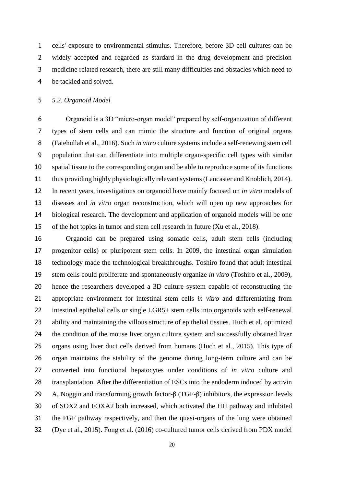cells' exposure to environmental stimulus. Therefore, before 3D cell cultures can be widely accepted and regarded as stardard in the drug development and precision medicine related research, there are still many difficulties and obstacles which need to be tackled and solved.

# *5.2. Organoid Model*

 Organoid is a 3D "micro-organ model" prepared by self-organization of different types of stem cells and can mimic the structure and function of original organs [\(Fatehullah et al., 2016\)](#page-30-6). Such *in vitro* culture systems include a self-renewing stem cell population that can differentiate into multiple organ-specific cell types with similar spatial tissue to the corresponding organ and be able to reproduce some of its functions thus providing highly physiologically relevant systems[\(Lancaster and Knoblich, 2014\)](#page-31-9). In recent years, investigations on organoid have mainly focused on *in vitro* models of diseases and *in vitro* organ reconstruction, which will open up new approaches for biological research. The development and application of organoid models will be one of the hot topics in tumor and stem cell research in future (Xu et al., 2018).

 Organoid can be prepared using somatic cells, adult stem cells (including progenitor cells) or pluripotent stem cells. In 2009, the intestinal organ simulation technology made the technological breakthroughs. Toshiro found that adult intestinal stem cells could proliferate and spontaneously organize *in vitro* [\(Toshiro et](#page-33-11) al., 2009), hence the researchers developed a 3D culture system capable of reconstructing the appropriate environment for intestinal stem cells *in vitro* and differentiating from intestinal epithelial cells or single LGR5+ stem cells into organoids with self-renewal ability and maintaining the villous structure of epithelial tissues. Huch et al. optimized the condition of the mouse liver organ culture system and successfully obtained liver organs using liver duct cells derived from humans [\(Huch et al., 2015\)](#page-30-7). This type of organ maintains the stability of the genome during long-term culture and can be converted into functional hepatocytes under conditions of *in vitro* culture and 28 transplantation. After the differentiation of ESCs into the endoderm induced by activin A, Noggin and transforming growth factor-β (TGF-β) inhibitors, the expression levels of SOX2 and FOXA2 both increased, which activated the HH pathway and inhibited the FGF pathway respectively, and then the quasi-organs of the lung were obtained [\(Dye et al., 2015\)](#page-30-8). Fong et al. [\(2016\)](#page-30-9) co-cultured tumor cells derived from PDX model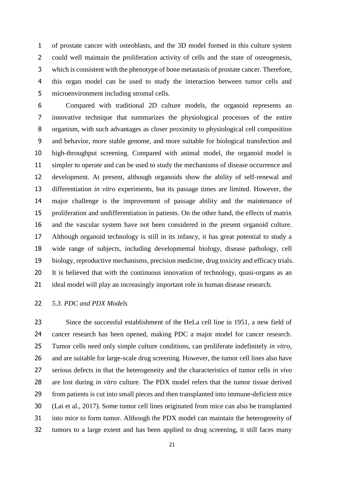of prostate cancer with osteoblasts, and the 3D model formed in this culture system could well maintain the proliferation activity of cells and the state of osteogenesis, which is consistent with the phenotype of bone metastasis of prostate cancer. Therefore, this organ model can be used to study the interaction between tumor cells and microenvironment including stromal cells.

 Compared with traditional 2D culture models, the organoid represents an innovative technique that summarizes the physiological processes of the entire organism, with such advantages as closer proximity to physiological cell composition and behavior, more stable genome, and more suitable for biological transfection and high-throughput screening. Compared with animal model, the organoid model is simpler to operate and can be used to study the mechanisms of disease occurrence and development. At present, although organoids show the ability of self-renewal and differentiation *in vitro* experiments, but its passage times are limited. However, the major challenge is the improvement of passage ability and the maintenance of proliferation and undifferentiation in patients. On the other hand, the effects of matrix and the vascular system have not been considered in the present organoid culture. Although organoid technology is still in its infancy, it has great potential to study a wide range of subjects, including developmental biology, disease pathology, cell biology, reproductive mechanisms, precision medicine, drug toxicity and efficacy trials. It is believed that with the continuous innovation of technology, quasi-organs as an ideal model will play an increasingly important role in human disease research.

# *5.3. PDC and PDX Models*

 Since the successful establishment of the HeLa cell line in 1951, a new field of cancer research has been opened, making PDC a major model for cancer research. Tumor cells need only simple culture conditions, can proliferate indefinitely *in vitro*, and are suitable for large-scale drug screening. However, the tumor cell lines also have serious defects in that the heterogeneity and the characteristics of tumor cells *in vivo* are lost during *in vitro* culture. The PDX model refers that the tumor tissue derived from patients is cut into small pieces and then transplanted into immune-deficient mice [\(Lai et al., 2017\)](#page-31-10). Some tumor cell lines originated from mice can also be transplanted into mice to form tumor. Although the PDX model can maintain the heterogeneity of tumors to a large extent and has been applied to drug screening, it still faces many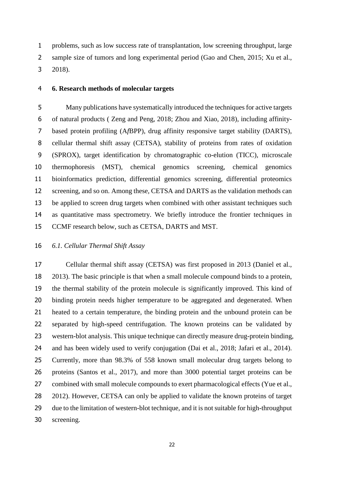problems, such as low success rate of transplantation, low screening throughput, large sample size of tumors and long experimental period [\(Gao and Chen, 2015;](#page-30-10) Xu et al., 2018).

#### **6. Research methods of molecular targets**

 Many publications have systematically introduced the techniques for active targets of natural products ( [Zeng and Peng, 2018;](#page-34-11) [Zhou and Xiao, 2018\)](#page-35-5), including affinity- based protein profiling (A*f*BPP), drug affinity responsive target stability (DARTS), cellular thermal shift assay (CETSA), stability of proteins from rates of oxidation (SPROX), target identification by chromatographic co-elution (TICC), microscale thermophoresis (MST), chemical genomics screening, chemical genomics bioinformatics prediction, differential genomics screening, differential proteomics screening, and so on. Among these, CETSA and DARTS as the validation methods can be applied to screen drug targets when combined with other assistant techniques such as quantitative mass spectrometry. We briefly introduce the frontier techniques in CCMF research below, such as CETSA, DARTS and MST.

# *6.1. Cellular Thermal Shift Assay*

 Cellular thermal shift assay (CETSA) was first proposed in 2013 [\(Daniel et al.,](#page-29-7)  [2013\)](#page-29-7). The basic principle is that when a small molecule compound binds to a protein, the thermal stability of the protein molecule is significantly improved. This kind of binding protein needs higher temperature to be aggregated and degenerated. When heated to a certain temperature, the binding protein and the unbound protein can be separated by high-speed centrifugation. The known proteins can be validated by western-blot analysis. This unique technique can directly measure drug-protein binding, and has been widely used to verify conjugation [\(Dai et al., 2018;](#page-29-8) [Jafari et al., 2014\)](#page-30-11). Currently, more than 98.3% of 558 known small molecular drug targets belong to proteins [\(Santos et al., 2017\)](#page-32-11), and more than 3000 potential target proteins can be 27 combined with small molecule compounds to exert pharmacological effects (Yue et al., [2012\)](#page-34-12). However, CETSA can only be applied to validate the known proteins of target due to the limitation of western-blot technique, and it is not suitable for high-throughput screening.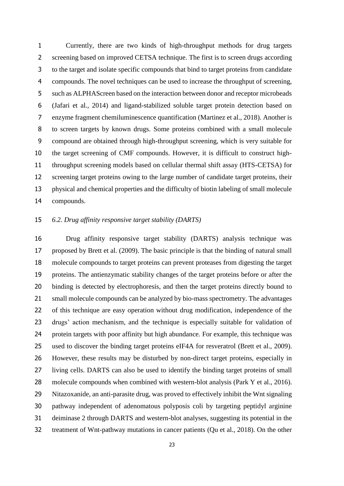Currently, there are two kinds of high-throughput methods for drug targets screening based on improved CETSA technique. The first is to screen drugs according to the target and isolate specific compounds that bind to target proteins from candidate compounds. The novel techniques can be used to increase the throughput of screening, such as ALPHAScreen based on the interaction between donor and receptor microbeads [\(Jafari et al., 2014\)](#page-30-11) and ligand-stabilized soluble target protein detection based on enzyme fragment chemiluminescence quantification [\(Martinez et al., 2018\)](#page-31-11). Another is to screen targets by known drugs. Some proteins combined with a small molecule compound are obtained through high-throughput screening, which is very suitable for the target screening of CMF compounds. However, it is difficult to construct high- throughput screening models based on cellular thermal shift assay (HTS-CETSA) for screening target proteins owing to the large number of candidate target proteins, their physical and chemical properties and the difficulty of biotin labeling of small molecule compounds.

# *6.2. Drug affinity responsive target stability (DARTS)*

 Drug affinity responsive target stability (DARTS) analysis technique was proposed by [Brett et al.](#page-29-9) (2009). The basic principle is that the binding of natural small molecule compounds to target proteins can prevent proteases from digesting the target proteins. The antienzymatic stability changes of the target proteins before or after the binding is detected by electrophoresis, and then the target proteins directly bound to small molecule compounds can be analyzed by bio-mass spectrometry. The advantages of this technique are easy operation without drug modification, independence of the drugs' action mechanism, and the technique is especially suitable for validation of protein targets with poor affinity but high abundance. For example, this technique was used to discover the binding target proteins eIF4A for resveratrol [\(Brett et al., 2009\)](#page-29-9). However, these results may be disturbed by non-direct target proteins, especially in living cells. DARTS can also be used to identify the binding target proteins of small 28 molecule compounds when combined with western-blot analysis (Park [Y et al., 2016\)](#page-32-12). Nitazoxanide, an anti-parasite drug, was proved to effectively inhibit the Wnt signaling pathway independent of adenomatous polyposis coli by targeting peptidyl arginine deiminase 2 through DARTS and western-blot analyses, suggesting its potential in the treatment of Wnt-pathway mutations in cancer patients [\(Qu et al., 2018\)](#page-32-13). On the other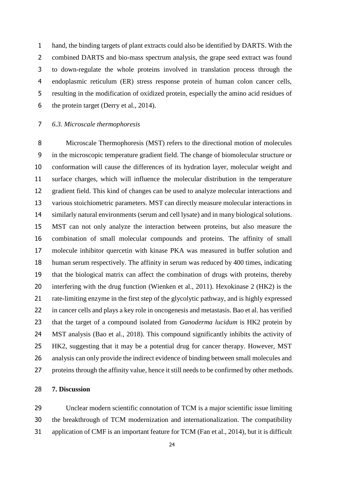hand, the binding targets of plant extracts could also be identified by DARTS. With the 2 combined DARTS and bio-mass spectrum analysis, the grape seed extract was found to down-regulate the whole proteins involved in translation process through the endoplasmic reticulum (ER) stress response protein of human colon cancer cells, resulting in the modification of oxidized protein, especially the amino acid residues of the protein target [\(Derry et al., 2014\)](#page-30-12).

# *6.3. Microscale thermophoresis*

 Microscale Thermophoresis (MST) refers to the directional motion of molecules in the microscopic temperature gradient field. The change of biomolecular structure or conformation will cause the differences of its hydration layer, molecular weight and surface charges, which will influence the molecular distribution in the temperature gradient field. This kind of changes can be used to analyze molecular interactions and various stoichiometric parameters. MST can directly measure molecular interactions in similarly natural environments (serum and cell lysate) and in many biological solutions. MST can not only analyze the interaction between proteins, but also measure the combination of small molecular compounds and proteins. The affinity of small molecule inhibitor quercetin with kinase PKA was measured in buffer solution and human serum respectively. The affinity in serum was reduced by 400 times, indicating that the biological matrix can affect the combination of drugs with proteins, thereby interfering with the drug function [\(Wienken et al., 2011\)](#page-33-12). Hexokinase 2 (HK2) is the rate-limiting enzyme in the first step of the glycolytic pathway, and is highly expressed in cancer cells and plays a key role in oncogenesis and metastasis. Bao et al. has verified that the target of a compound isolated from *Ganoderma lucidum* is HK2 protein by MST analysis [\(Bao et al., 2018\)](#page-29-10). This compound significantly inhibits the activity of HK2, suggesting that it may be a potential drug for cancer therapy. However, MST analysis can only provide the indirect evidence of binding between small molecules and proteins through the affinity value, hence it still needs to be confirmed by other methods.

#### **7. Discussion**

 Unclear modern scientific connotation of TCM is a major scientific issue limiting the breakthrough of TCM modernization and internationalization. The compatibility application of CMF is an important feature for TCM [\(Fan et al., 2014\)](#page-30-13), but it is difficult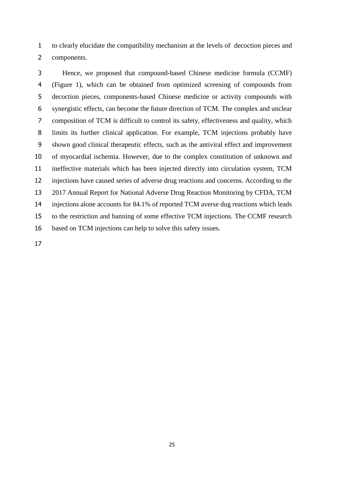to clearly elucidate the compatibility mechanism at the levels of decoction pieces and components.

 Hence, we proposed that compound-based Chinese medicine formula (CCMF) (Figure 1), which can be obtained from optimized screening of compounds from decoction pieces, components-based Chinese medicine or activity compounds with synergistic effects, can become the future direction of TCM. The complex and unclear composition of TCM is difficult to control its safety, effectiveness and quality, which limits its further clinical application. For example, TCM injections probably have shown good clinical therapeutic effects, such as the antiviral effect and improvement of myocardial ischemia. However, due to the complex constitution of unknown and ineffective materials which has been injected directly into circulation system, TCM injections have caused series of adverse drug reactions and concerns. According to the 2017 Annual Report for National Adverse Drug Reaction Monitoring by CFDA, TCM injections alone accounts for 84.1% of reported TCM averse dug reactions which leads to the restriction and banning of some effective TCM injections. The CCMF research based on TCM injections can help to solve this safety issues.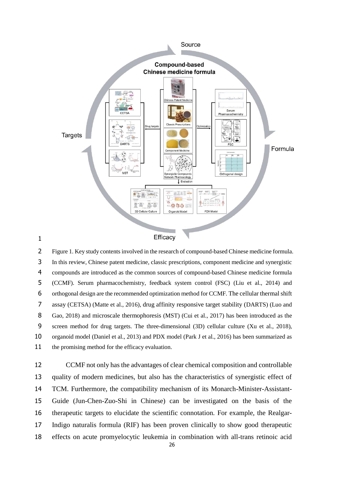

 Figure 1. Key study contents involved in the research of compound-based Chinese medicine formula. In this review, Chinese patent medicine, classic prescriptions, component medicine and synergistic compounds are introduced as the common sources of compound-based Chinese medicine formula (CCMF). Serum pharmacochemistry, feedback system control (FSC) (Liu et al., 2014) and orthogonal design are the recommended optimization method for CCMF. The cellular thermal shift assay (CETSA) (Matte et al., 2016), drug affinity responsive target stability (DARTS) (Luo and Gao, 2018) and microscale thermophoresis (MST) (Cui et al., 2017) has been introduced as the screen method for drug targets. The three-dimensional (3D) cellular culture (Xu et al., 2018), organoid model (Daniel et al., 2013) and PDX model (Park J et al., 2016) has been summarized as 11 the promising method for the efficacy evaluation.

 CCMF not only has the advantages of clear chemical composition and controllable quality of modern medicines, but also has the characteristics of synergistic effect of TCM. Furthermore, the compatibility mechanism of its Monarch-Minister-Assistant- Guide (Jun-Chen-Zuo-Shi in Chinese) can be investigated on the basis of the therapeutic targets to elucidate the scientific connotation. For example, the Realgar- Indigo naturalis formula (RIF) has been proven clinically to show good therapeutic effects on acute promyelocytic leukemia in combination with all-trans retinoic acid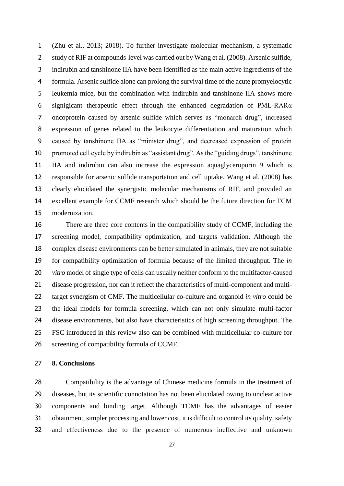(Zhu et al., 2013; 2018). To further investigate molecular mechanism, a systematic study of RIF at compounds-level was carried out b[y Wang](#page-33-1) et al. (2008). Arsenic sulfide, indirubin and tanshinone IIA have been identified as the main active ingredients of the formula. Arsenic sulfide alone can prolong the survival time of the acute promyelocytic leukemia mice, but the combination with indirubin and tanshinone IIA shows more 6 signigicant therapeutic effect through the enhanced degradation of PML-RAR $\alpha$  oncoprotein caused by arsenic sulfide which serves as "monarch drug", increased expression of genes related to the leukocyte differentiation and maturation which caused by tanshinone IIA as "minister drug", and decreased expression of protein promoted cell cycle by indirubin as "assistant drug". As the "guiding drugs", tanshinone IIA and indirubin can also increase the expression aquaglyceroporin 9 which is responsible for arsenic sulfide transportation and cell uptake. [Wang et al. \(2008\)](#page-33-1) has clearly elucidated the synergistic molecular mechanisms of RIF, and provided an excellent example for CCMF research which should be the future direction for TCM modernization.

 There are three core contents in the compatibility study of CCMF, including the screening model, compatibility optimization, and targets validation. Although the complex disease environments can be better simulated in animals, they are not suitable for compatibility optimization of formula because of the limited throughput. The *in vitro* model of single type of cells can usually neither conform to the multifactor-caused disease progression, nor can it reflect the characteristics of multi-component and multi- target synergism of CMF. The multicellular co-culture and organoid *in vitro* could be the ideal models for formula screening, which can not only simulate multi-factor disease environments, but also have characteristics of high screening throughput. The FSC introduced in this review also can be combined with multicellular co-culture for screening of compatibility formula of CCMF.

## **8. Conclusions**

 Compatibility is the advantage of Chinese medicine formula in the treatment of diseases, but its scientific connotation has not been elucidated owing to unclear active components and binding target. Although TCMF has the advantages of easier obtainment, simpler processing and lower cost, it is difficult to control its quality, safety and effectiveness due to the presence of numerous ineffective and unknown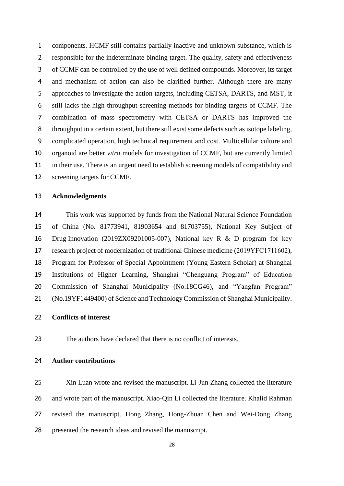components. HCMF still contains partially inactive and unknown substance, which is responsible for the indeterminate binding target. The quality, safety and effectiveness of CCMF can be controlled by the use of well defined compounds. Moreover, its target and mechanism of action can also be clarified further. Although there are many approaches to investigate the action targets, including CETSA, DARTS, and MST, it still lacks the high throughput screening methods for binding targets of CCMF. The combination of mass spectrometry with CETSA or DARTS has improved the throughput in a certain extent, but there still exist some defects such as isotope labeling, complicated operation, high technical requirement and cost. Multicellular culture and organoid are better *vitro* models for investigation of CCMF, but are currently limited in their use. There is an urgent need to establish screening models of compatibility and screening targets for CCMF.

#### **Acknowledgments**

 This work was supported by funds from the National Natural Science Foundation of China (No. 81773941, 81903654 and 81703755), National Key Subject of Drug Innovation (2019ZX09201005-007), National key R & D program for key research project of modernization of traditional Chinese medicine (2019YFC1711602), Program for Professor of Special Appointment (Young Eastern Scholar) at Shanghai Institutions of Higher Learning, Shanghai "Chenguang Program" of Education Commission of Shanghai Municipality (No.18CG46), and "Yangfan Program" (No.19YF1449400) of Science and Technology Commission of Shanghai Municipality.

# **Conflicts of interest**

The authors have declared that there is no conflict of interests.

#### **Author contributions**

 Xin Luan wrote and revised the manuscript. Li-Jun Zhang collected the literature and wrote part of the manuscript. Xiao-Qin Li collected the literature. Khalid Rahman revised the manuscript. Hong Zhang, Hong-Zhuan Chen and Wei-Dong Zhang presented the research ideas and revised the manuscript.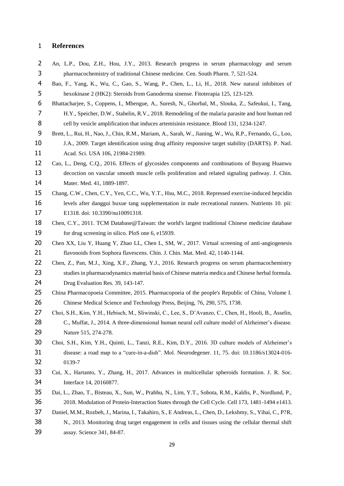#### **References**

- <span id="page-29-3"></span> An, L.P., Dou, Z.H., Hou, J.Y., 2013. Research progress in serum pharmacology and serum pharmacochemistry of traditional Chinese medicine. Cen. South Pharm. 7, 521-524.
- <span id="page-29-10"></span> Bao, F., Yang, K., Wu, C., Gao, S., Wang, P., Chen, L., Li, H., 2018. New natural inhibitors of hexokinase 2 (HK2): Steroids from Ganoderma sinense. Fitoterapia 125, 123-129.
- <span id="page-29-0"></span> Bhattacharjee, S., Coppens, I., Mbengue, A., Suresh, N., Ghorbal, M., Slouka, Z., Safeukui, I., Tang, H.Y., Speicher, D.W., Stahelin, R.V., 2018. Remodeling of the malaria parasite and host human red cell by vesicle amplification that induces artemisinin resistance. Blood 131, 1234-1247.
- <span id="page-29-9"></span> Brett, L., Rui, H., Nao, J., Chin, R.M., Mariam, A., Sarah, W., Jianing, W., Wu, R.P., Fernando, G., Loo, J.A., 2009. Target identification using drug affinity responsive target stability (DARTS). P. Natl. Acad. Sci. USA 106, 21984-21989.
- Cao, L., Deng, C.Q., 2016. Effects of glycosides components and combinations of Buyang Huanwu decoction on vascular smooth muscle cells proliferation and related signaling pathway. J. Chin. 14 Mater. Med. 41, 1889-1897.
- <span id="page-29-1"></span> [Chang, C.W.](https://www.ncbi.nlm.nih.gov/pubmed/?term=Chang%20CW%5BAuthor%5D&cauthor=true&cauthor_uid=30231484), [Chen, C.Y.](https://www.ncbi.nlm.nih.gov/pubmed/?term=Chen%20CY%5BAuthor%5D&cauthor=true&cauthor_uid=30231484), [Yen, C.C.](https://www.ncbi.nlm.nih.gov/pubmed/?term=Yen%20CC%5BAuthor%5D&cauthor=true&cauthor_uid=30231484), [Wu, Y.T.](https://www.ncbi.nlm.nih.gov/pubmed/?term=Wu%20YT%5BAuthor%5D&cauthor=true&cauthor_uid=30231484), [Hsu, M.C.,](https://www.ncbi.nlm.nih.gov/pubmed/?term=Hsu%20MC%5BAuthor%5D&cauthor=true&cauthor_uid=30231484) 2018. Repressed exercise-induced hepcidin 16 levels after danggui buxue tang supplementation in male recreational runners. Nutrients 10. pii: E1318. doi: 10.3390/nu10091318.
- Chen, C.Y., 2011. TCM Database@Taiwan: the world's largest traditional Chinese medicine database for drug screening in silico. PloS one 6, e15939.
- <span id="page-29-2"></span>20 Chen XX, Liu Y, Huang Y, Zhao LL, Chen L, SM, W., 2017. Virtual screening of anti-angiogenesis flavonoids from Sophora flavescens. Chin. J. Chin. Mat. Med. 42, 1140-1144.
- <span id="page-29-4"></span>22 Chen, Z., Pan, M.J., Xing, X.F., Zhang, Y.J., 2016. Research progress on serum pharmacochemistry studies in pharmacodynamics material basis of Chinese materia medica and Chinese herbal formula. Drug Evaluation Res. 39, 143-147.
- <span id="page-29-6"></span> China Pharmacopoeia Committee, 2015. Pharmacopoeia of the people's Republic of China, Volume I. Chinese Medical Science and Technology Press, Beijing, 76, 290, 575, 1738.
- Choi, S.H., Kim, Y.H., Hebisch, M., Sliwinski, C., Lee, S., D'Avanzo, C., Chen, H., Hooli, B., Asselin, 28 C., Muffat, J., 2014. A three-dimensional human neural cell culture model of Alzheimer's disease. Nature 515, 274-278.
- Choi, S.H., Kim, Y.H., Quinti, L., Tanzi, R.E., Kim, D.Y., 2016. 3D culture models of Alzheimer's disease: a road map to a "cure-in-a-dish". Mol. Neurodegener. 11, 75. doi: 10.1186/s13024-016- 0139-7
- <span id="page-29-5"></span> Cui, X., Hartanto, Y., Zhang, H., 2017. Advances in multicellular spheroids formation. J. R. Soc. Interface 14, 20160877.
- <span id="page-29-8"></span> Dai, L., Zhao, T., Bisteau, X., Sun, W., Prabhu, N., Lim, Y.T., Sobota, R.M., Kaldis, P., Nordlund, P., 2018. Modulation of Protein-Interaction States through the Cell Cycle. Cell 173, 1481-1494 e1413.
- <span id="page-29-7"></span> Daniel, M.M., Rozbeh, J., Marina, I., Takahiro, S., E Andreas, L., Chen, D., Lekshmy, S., Yihai, C., P?R, N., 2013. Monitoring drug target engagement in cells and tissues using the cellular thermal shift assay. Science 341, 84-87.
	-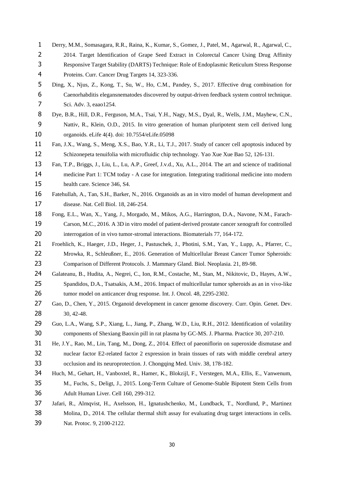- <span id="page-30-12"></span> Derry, M.M., Somasagara, R.R., Raina, K., Kumar, S., Gomez, J., Patel, M., Agarwal, R., Agarwal, C., 2 2014. Target Identification of Grape Seed Extract in Colorectal Cancer Using Drug Affinity Responsive Target Stability (DARTS) Technique: Role of Endoplasmic Reticulum Stress Response Proteins. Curr. Cancer Drug Targets 14, 323-336.
- <span id="page-30-3"></span> Ding, X., Njus, Z., Kong, T., Su, W., Ho, C.M., Pandey, S., 2017. Effective drug combination for Caenorhabditis elegansnematodes discovered by output-driven feedback system control technique. Sci. Adv. 3, eaao1254.
- <span id="page-30-8"></span> Dye, B.R., Hill, D.R., Ferguson, M.A., Tsai, Y.H., Nagy, M.S., Dyal, R., Wells, J.M., Mayhew, C.N., Nattiv, R., Klein, O.D., 2015. In vitro generation of human pluripotent stem cell derived lung organoids. eLife 4(4). doi: 10.7554/eLife.05098
- <span id="page-30-0"></span> Fan, J.X., Wang, S., Meng, X.S., Bao, Y.R., Li, T.J., 2017. Study of cancer cell apoptosis induced by Schizonepeta tenuifolia with microfluidic chip technology. [Yao Xue Xue Bao](https://www.ncbi.nlm.nih.gov/pubmed/?term=Study+of+cancer+cell+apoptosis+induced+by+Schizonepeta+tenuifolia+with+microfluidic+chip+technology) 52, 126-131.
- <span id="page-30-13"></span> Fan, T.P., Briggs, J., Liu, L., Lu, A.P., Greef, J.v.d., Xu, A.L., 2014. The art and science of traditional medicine Part 1: TCM today - A case for integration. Integrating traditional medicine into modern health care. Science 346, S4.
- <span id="page-30-6"></span> Fatehullah, A., Tan, S.H., Barker, N., 2016. Organoids as an in vitro model of human development and disease. Nat. Cell Biol. 18, 246-254.
- <span id="page-30-9"></span> Fong, E.L., Wan, X., Yang, J., Morgado, M., Mikos, A.G., Harrington, D.A., Navone, N.M., Farach- Carson, M.C., 2016. A 3D in vitro model of patient-derived prostate cancer xenograft for controlled 20 interrogation of in vivo tumor-stromal interactions. Biomaterials 77, 164-172.
- <span id="page-30-4"></span> Froehlich, K., Haeger, J.D., Heger, J., Pastuschek, J., Photini, S.M., Yan, Y., Lupp, A., Pfarrer, C., Mrowka, R., Schleußner, E., 2016. Generation of Multicellular Breast Cancer Tumor Spheroids: Comparison of Different Protocols. J. Mammary Gland. Biol. Neoplasia. 21, 89-98.
- <span id="page-30-5"></span>Galateanu, B., Hudita, A., Negrei, C., Ion, R.M., Costache, M., Stan, M., Nikitovic, D., Hayes, A.W.,
- 25 Spandidos, D.A., Tsatsakis, A.M., 2016. Impact of multicellular tumor spheroids as an in vivo-like 26 tumor model on anticancer drug response. Int. J. Oncol. 48, 2295-2302.
- <span id="page-30-10"></span>27 Gao, D., Chen, Y., 2015. Organoid development in cancer genome discovery. Curr. Opin. Genet. Dev. 30, 42-48.
- <span id="page-30-2"></span> Guo, L.A., Wang, S.P., Xiang, L., Jiang, P., Zhang, W.D., Liu, R.H., 2012. Identification of volatility components of Shexiang Baoxin pill in rat plasma by GC-MS. J. Pharma. Practice 30, 207-210.
- <span id="page-30-1"></span> He, J.Y., Rao, M., Lin, Tang, M., Dong, Z., 2014. Effect of paeoniflorin on superoxide dismutase and nuclear factor E2-related factor 2 expression in brain tissues of rats with middle cerebral artery occlusion and its neuroprotection. J. Chongqing Med. Univ. 38, 178-182.
- <span id="page-30-7"></span> Huch, M., Gehart, H., Vanboxtel, R., Hamer, K., Blokzijl, F., Verstegen, M.A., Ellis, E., Vanwenum, M., Fuchs, S., Deligt, J., 2015. Long-Term Culture of Genome-Stable Bipotent Stem Cells from Adult Human Liver. Cell 160, 299-312.
- <span id="page-30-11"></span> Jafari, R., Almqvist, H., Axelsson, H., Ignatushchenko, M., Lundback, T., Nordlund, P., Martinez Molina, D., 2014. The cellular thermal shift assay for evaluating drug target interactions in cells. Nat. Protoc. 9, 2100-2122.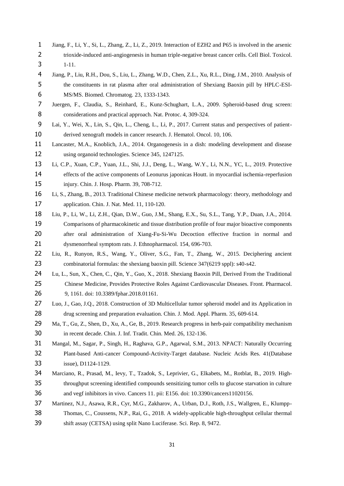- <span id="page-31-1"></span> Jiang, F., Li, Y., Si, L., Zhang, Z., Li, Z., 2019. Interaction of EZH2 and P65 is involved in the arsenic trioxide-induced anti-angiogenesis in human triple-negative breast cancer cells. Cell Biol. Toxicol. 1-11.
- <span id="page-31-5"></span> Jiang, P., Liu, R.H., Dou, S., Liu, L., Zhang, W.D., Chen, Z.L., Xu, R.L., Ding, J.M., 2010. Analysis of the constituents in rat plasma after oral administration of Shexiang Baoxin pill by HPLC-ESI-MS/MS. Biomed. Chromatog. 23, 1333-1343.
- <span id="page-31-8"></span> Juergen, F., Claudia, S., Reinhard, E., Kunz-Schughart, L.A., 2009. Spheroid-based drug screen: 8 considerations and practical approach. Nat. Protoc. 4, 309-324.
- <span id="page-31-10"></span> Lai, Y., Wei, X., Lin, S., Qin, L., Cheng, L., Li, P., 2017. Current status and perspectives of patient-10 derived xenograft models in cancer research. J. Hematol. Oncol. 10, 106.
- <span id="page-31-9"></span> Lancaster, M.A., Knoblich, J.A., 2014. Organogenesis in a dish: modeling development and disease 12 using organoid technologies. Science 345, 1247125.
- <span id="page-31-0"></span> Li, C.P., Xuan, C.P., Yuan, J.L., Shi, J.J., Deng, L., Wang, W.Y., Li, N.N., YC, L., 2019. Protective 14 effects of the active components of Leonurus japonicas Houtt. in myocardial ischemia-reperfusion injury. Chin. J. Hosp. Pharm. 39, 708-712.
- <span id="page-31-2"></span> Li, S., Zhang, B., 2013. Traditional Chinese medicine network pharmacology: theory, methodology and application. Chin. J. Nat. Med. 11, 110-120.
- <span id="page-31-6"></span> Liu, P., Li, W., Li, Z.H., Qian, D.W., Guo, J.M., Shang, E.X., Su, S.L., Tang, Y.P., Duan, J.A., 2014. Comparisons of pharmacokinetic and tissue distribution profile of four major bioactive components after oral administration of Xiang-Fu-Si-Wu Decoction effective fraction in normal and dysmenorrheal symptom rats. J. Ethnopharmacol. 154, 696-703.
- <span id="page-31-7"></span> Liu, R., Runyon, R.S., Wang, Y., Oliver, S.G., Fan, T., Zhang, W., 2015. Deciphering ancient combinatorial formulas: the shexiang baoxin pill. Science 347(6219 sppl): s40-s42.
- [Lu, L.,](https://www.ncbi.nlm.nih.gov/pubmed/?term=Lu%20L%5BAuthor%5D&cauthor=true&cauthor_uid=30487746) [Sun, X.,](https://www.ncbi.nlm.nih.gov/pubmed/?term=Sun%20X%5BAuthor%5D&cauthor=true&cauthor_uid=30487746) [Chen, C.,](https://www.ncbi.nlm.nih.gov/pubmed/?term=Chen%20C%5BAuthor%5D&cauthor=true&cauthor_uid=30487746) [Qin, Y.](https://www.ncbi.nlm.nih.gov/pubmed/?term=Qin%20Y%5BAuthor%5D&cauthor=true&cauthor_uid=30487746), [Guo, X.,](https://www.ncbi.nlm.nih.gov/pubmed/?term=Guo%20X%5BAuthor%5D&cauthor=true&cauthor_uid=30487746) 2018. Shexiang Baoxin Pill, Derived From the Traditional Chinese Medicine, Provides Protective Roles Against Cardiovascular Diseases. Front. [Pharmacol.](https://www.ncbi.nlm.nih.gov/pubmed/30487746) 9, 1161. doi: 10.3389/fphar.2018.01161.
- Luo, J., Gao, J.Q., 2018. Construction of 3D Multicellular tumor spheroid model and its Application in drug screening and preparation evaluation. Chin. J. Mod. Appl. Pharm. 35, 609-614.
- <span id="page-31-3"></span> Ma, T., Gu, Z., Shen, D., Xu, A., Ge, B., 2019. Research progress in herb-pair compatibility mechanism 30 in recent decade. Chin. J. Inf. Tradit. Chin. Med. 26, 132-136.
- Mangal, M., Sagar, P., Singh, H., Raghava, G.P., Agarwal, S.M., 2013. NPACT: Naturally Occurring Plant-based Anti-cancer Compound-Activity-Target database. Nucleic Acids Res. 41(Database issue), D1124-1129.
- <span id="page-31-4"></span> Marciano, R., Prasad, M., Ievy, T., Tzadok, S., Leprivier, G., Elkabets, M., Rotblat, B., 2019. High- throughput screening identified compounds sensitizing tumor cells to glucose starvation in culture and vegf inhibitors in vivo. Cancers 11. pii: E156. doi: 10.3390/cancers11020156.
- <span id="page-31-11"></span> Martinez, N.J., Asawa, R.R., Cyr, M.G., Zakharov, A., Urban, D.J., Roth, J.S., Wallgren, E., Klumpp- Thomas, C., Coussens, N.P., Rai, G., 2018. A widely-applicable high-throughput cellular thermal shift assay (CETSA) using split Nano Luciferase. Sci. Rep. 8, 9472.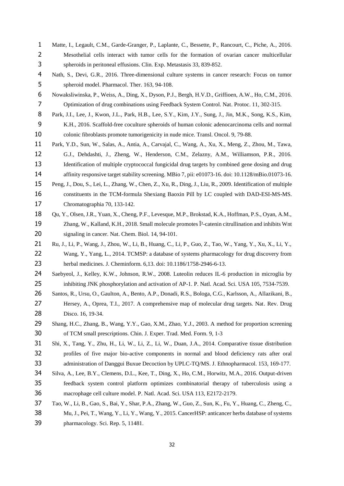- <span id="page-32-9"></span> Matte, I., Legault, C.M., Garde-Granger, P., Laplante, C., Bessette, P., Rancourt, C., Piche, A., 2016. Mesothelial cells interact with tumor cells for the formation of ovarian cancer multicellular spheroids in peritoneal effusions. Clin. Exp. Metastasis 33, 839-852.
- <span id="page-32-8"></span> Nath, S., Devi, G.R., 2016. Three-dimensional culture systems in cancer research: Focus on tumor spheroid model. Pharmacol. Ther. 163, 94-108.
- <span id="page-32-5"></span> Nowaksliwinska, P., Weiss, A., Ding, X., Dyson, P.J., Bergh, H.V.D., Griffioen, A.W., Ho, C.M., 2016. Optimization of drug combinations using Feedback System Control. Nat. Protoc. 11, 302-315.
- <span id="page-32-10"></span> Park, J.I., Lee, J., Kwon, J.L., Park, H.B., Lee, S.Y., Kim, J.Y., Sung, J., Jin, M.K., Song, K.S., Kim, K.H., 2016. Scaffold-free coculture spheroids of human colonic adenocarcinoma cells and normal colonic fibroblasts promote tumorigenicity in nude mice. Transl. Oncol. 9, 79-88.
- <span id="page-32-12"></span> Park, Y.D., Sun, W., Salas, A., Antia, A., Carvajal, C., Wang, A., Xu, X., Meng, Z., Zhou, M., Tawa, G.J., Dehdashti, J., Zheng, W., Henderson, C.M., Zelazny, A.M., Williamson, P.R., 2016. 13 Identification of multiple cryptococcal fungicidal drug targets by combined gene dosing and drug affinity responsive target stability screening. MBio 7, pii: e01073-16. doi: 10.1128/mBio.01073-16.
- <span id="page-32-0"></span> Peng, J., Dou, S., Lei, L., Zhang, W., Chen, Z., Xu, R., Ding, J., Liu, R., 2009. Identification of multiple constituents in the TCM-formula Shexiang Baoxin Pill by LC coupled with DAD-ESI-MS-MS. Chromatographia 70, 133-142.
- <span id="page-32-13"></span> Qu, Y., Olsen, J.R., Yuan, X., Cheng, P.F., Levesque, M.P., Brokstad, K.A., Hoffman, P.S., Oyan, A.M., Zhang, W., Kalland, K.H., 2018. Small molecule promotes β-catenin citrullination and inhibits Wnt signaling in cancer. Nat. Chem. Biol. 14, 94-101.
- <span id="page-32-2"></span> Ru, J., Li, P., Wang, J., Zhou, W., Li, B., Huang, C., Li, P., Guo, Z., Tao, W., Yang, Y., Xu, X., Li, Y., Wang, Y., Yang, L., 2014. TCMSP: a database of systems pharmacology for drug discovery from herbal medicines. J. Cheminform. 6,13. doi: 10.1186/1758-2946-6-13.
- <span id="page-32-1"></span>24 Saebyeol, J., Kelley, K.W., Johnson, R.W., 2008. Luteolin reduces IL-6 production in microglia by 25 inhibiting JNK phosphorylation and activation of AP-1. P. Natl. Acad. Sci. USA 105, 7534-7539.
- <span id="page-32-11"></span>Santos, R., Ursu, O., Gaulton, A., Bento, A.P., Donadi, R.S., Bologa, C.G., Karlsson, A., Allazikani, B.,
- Hersey, A., Oprea, T.I., 2017. A comprehensive map of molecular drug targets. Nat. Rev. Drug Disco. 16, 19-34.
- <span id="page-32-7"></span> Shang, H.C., Zhang, B., Wang, Y.Y., Gao, X.M., Zhao, Y.J., 2003. A method for proportion screening of TCM small prescriptions. Chin. J. Exper. Trad. Med. Form. 9, 1-3
- <span id="page-32-4"></span> Shi, X., Tang, Y., Zhu, H., Li, W., Li, Z., Li, W., Duan, J.A., 2014. Comparative tissue distribution profiles of five major bio-active components in normal and blood deficiency rats after oral 33 administration of Danggui Buxue Decoction by UPLC-TQ/MS. J. Ethnopharmacol. 153, 169-177.
- <span id="page-32-6"></span> Silva, A., Lee, B.Y., Clemens, D.L., Kee, T., Ding, X., Ho, C.M., Horwitz, M.A., 2016. Output-driven feedback system control platform optimizes combinatorial therapy of tuberculosis using a macrophage cell culture model. P. Natl. Acad. Sci. USA 113, E2172-2179.
- <span id="page-32-3"></span> Tao, W., Li, B., Gao, S., Bai, Y., Shar, P.A., Zhang, W., Guo, Z., Sun, K., Fu, Y., Huang, C., Zheng, C., Mu, J., Pei, T., Wang, Y., Li, Y., Wang, Y., 2015. CancerHSP: anticancer herbs database of systems pharmacology. Sci. Rep. 5, 11481.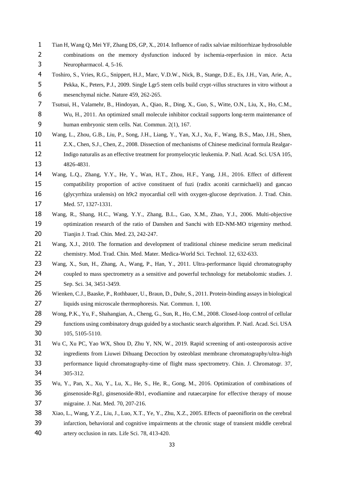- <span id="page-33-3"></span> Tian H, Wang Q, Mei YF, Zhang DS, GP, X., 2014. Influence of radix salviae miltiorrhizae hydrosoluble combinations on the memory dysfunction induced by ischemia-reperfusion in mice. Acta Neuropharmacol. 4, 5-16.
- <span id="page-33-11"></span> Toshiro, S., Vries, R.G., Snippert, H.J., Marc, V.D.W., Nick, B., Stange, D.E., Es, J.H., Van, Arie, A., Pekka, K., Peters, P.J., 2009. Single Lgr5 stem cells build crypt-villus structures in vitro without a mesenchymal niche. Nature 459, 262-265.
- <span id="page-33-8"></span> Tsutsui, H., Valamehr, B., Hindoyan, A., Qiao, R., Ding, X., Guo, S., Witte, O.N., Liu, X., Ho, C.M., Wu, H., 2011. An optimized small molecule inhibitor cocktail supports long-term maintenance of human embryonic stem cells. Nat. Commun. 2(1), 167.
- <span id="page-33-1"></span> Wang, L., Zhou, G.B., Liu, P., Song, J.H., Liang, Y., Yan, X.J., Xu, F., Wang, B.S., Mao, J.H., Shen, Z.X., Chen, S.J., Chen, Z., 2008. Dissection of mechanisms of Chinese medicinal formula Realgar- Indigo naturalis as an effective treatment for promyelocytic leukemia. P. Natl. Acad. Sci. USA 105, 4826-4831.
- <span id="page-33-2"></span> Wang, L.Q., Zhang, Y.Y., He, Y., Wan, H.T., Zhou, H.F., Yang, J.H., 2016. Effect of different compatibility proportion of active constituent of fuzi (radix aconiti carmichaeli) and gancao (glycyrrhiza uralensis) on h9c2 myocardial cell with oxygen-glucose deprivation. J. Trad. Chin. Med. 57, 1327-1331.
- <span id="page-33-10"></span> Wang, R., Shang, H.C., Wang, Y.Y., Zhang, B.L., Gao, X.M., Zhao, Y.J., 2006. Multi-objective optimization research of the ratio of Danshen and Sanchi with ED-NM-MO trigeminy method. Tianjin J. Trad. Chin. Med. 23, 242-247.
- <span id="page-33-6"></span><span id="page-33-0"></span>21 Wang, X.J., 2010. The formation and development of traditional chinese medicine serum medicinal chemistry. Mod. Trad. Chin. Med. Mater. Medica-World Sci. Technol. 12, 632-633.
- <span id="page-33-7"></span>23 Wang, X., Sun, H., Zhang, A., Wang, P., Han, Y., 2011. Ultra-performance liquid chromatography 24 coupled to mass spectrometry as a sensitive and powerful technology for metabolomic studies. J. Sep. Sci. 34, 3451-3459.
- <span id="page-33-12"></span> Wienken, C.J., Baaske, P., Rothbauer, U., Braun, D., Duhr, S., 2011. Protein-binding assays in biological liquids using microscale thermophoresis. Nat. Commun. 1, 100.
- <span id="page-33-5"></span> Wong, P.K., Yu, F., Shahangian, A., Cheng, G., Sun, R., Ho, C.M., 2008. Closed-loop control of cellular functions using combinatory drugs guided by a stochastic search algorithm. P. Natl. Acad. Sci. USA 105, 5105-5110.
- Wu C, Xu PC, Yao WX, Shou D, Zhu Y, NN, W., 2019. Rapid screening of anti-osteoporosis active ingredients from Liuwei Dihuang Decoction by osteoblast membrane chromatography/ultra-high performance liquid chromatography-time of flight mass spectrometry. Chin. J. Chromatogr. 37, 305-312.
- <span id="page-33-9"></span> Wu, Y., Pan, X., Xu, Y., Lu, X., He, S., He, R., Gong, M., 2016. Optimization of combinations of ginsenoside-Rg1, ginsenoside-Rb1, evodiamine and rutaecarpine for effective therapy of mouse migraine. J. Nat. Med. 70, 207-216.
- <span id="page-33-4"></span> Xiao, L., Wang, Y.Z., Liu, J., Luo, X.T., Ye, Y., Zhu, X.Z., 2005. Effects of paeoniflorin on the cerebral infarction, behavioral and cognitive impairments at the chronic stage of transient middle cerebral artery occlusion in rats. Life Sci. 78, 413-420.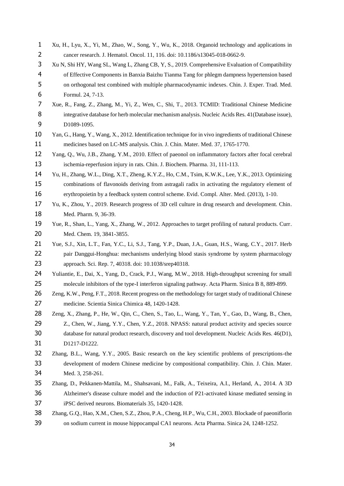<span id="page-34-12"></span><span id="page-34-11"></span><span id="page-34-10"></span><span id="page-34-9"></span><span id="page-34-8"></span><span id="page-34-7"></span><span id="page-34-6"></span><span id="page-34-5"></span><span id="page-34-4"></span><span id="page-34-3"></span><span id="page-34-2"></span><span id="page-34-1"></span><span id="page-34-0"></span>

| $\mathbf{1}$ | Xu, H., Lyu, X., Yi, M., Zhao, W., Song, Y., Wu, K., 2018. Organoid technology and applications in         |
|--------------|------------------------------------------------------------------------------------------------------------|
| 2            | cancer research. J. Hematol. Oncol. 11, 116. doi: 10.1186/s13045-018-0662-9.                               |
| 3            | Xu N, Shi HY, Wang SL, Wang L, Zhang CB, Y, S., 2019. Comprehensive Evaluation of Compatibility            |
| 4            | of Effective Components in Banxia Baizhu Tianma Tang for phlegm dampness hypertension based                |
| 5            | on orthogonal test combined with multiple pharmacodynamic indexes. Chin. J. Exper. Trad. Med.              |
| 6            | Formul. 24, 7-13.                                                                                          |
| 7            | Xue, R., Fang, Z., Zhang, M., Yi, Z., Wen, C., Shi, T., 2013. TCMID: Traditional Chinese Medicine          |
| 8            | integrative database for herb molecular mechanism analysis. Nucleic Acids Res. 41 (Database issue),        |
| 9            | D1089-1095.                                                                                                |
| 10           | Yan, G., Hang, Y., Wang, X., 2012. Identification technique for in vivo ingredients of traditional Chinese |
| 11           | medicines based on LC-MS analysis. Chin. J. Chin. Mater. Med. 37, 1765-1770.                               |
| 12           | Yang, Q., Wu, J.B., Zhang, Y.M., 2010. Effect of paeonol on inflammatory factors after focal cerebral      |
| 13           | ischemia-reperfusion injury in rats. Chin. J. Biochem. Pharma. 31, 111-113.                                |
| 14           | Yu, H., Zhang, W.L., Ding, X.T., Zheng, K.Y.Z., Ho, C.M., Tsim, K.W.K., Lee, Y.K., 2013. Optimizing        |
| 15           | combinations of flavonoids deriving from astragali radix in activating the regulatory element of           |
| 16           | erythropoietin by a feedback system control scheme. Evid. Compl. Alter. Med. (2013), 1-10.                 |
| 17           | Yu, K., Zhou, Y., 2019. Research progress of 3D cell culture in drug research and development. Chin.       |
| 18           | Med. Pharm. 9, 36-39.                                                                                      |
| 19           | Yue, R., Shan, L., Yang, X., Zhang, W., 2012. Approaches to target profiling of natural products. Curr.    |
| 20           | Med. Chem. 19, 3841-3855.                                                                                  |
| 21           | Yue, S.J., Xin, L.T., Fan, Y.C., Li, S.J., Tang, Y.P., Duan, J.A., Guan, H.S., Wang, C.Y., 2017. Herb      |
| 22           | pair Danggui-Honghua: mechanisms underlying blood stasis syndrome by system pharmacology                   |
| 23           | approach. Sci. Rep. 7, 40318. doi: 10.1038/srep40318.                                                      |
| 24           | Yuliantie, E., Dai, X., Yang, D., Crack, P.J., Wang, M.W., 2018. High-throughput screening for small       |
| 25           | molecule inhibitors of the type-I interferon signaling pathway. Acta Pharm. Sinica B 8, 889-899.           |
| 26           | Zeng, K.W., Peng, F.T., 2018. Recent progress on the methodology for target study of traditional Chinese   |
| 27           | medicine. Scientia Sinica Chimica 48, 1420-1428.                                                           |
| 28           | Zeng, X., Zhang, P., He, W., Qin, C., Chen, S., Tao, L., Wang, Y., Tan, Y., Gao, D., Wang, B., Chen,       |
| 29           | Z., Chen, W., Jiang, Y.Y., Chen, Y.Z., 2018. NPASS: natural product activity and species source            |
| 30           | database for natural product research, discovery and tool development. Nucleic Acids Res. 46(D1),          |
| 31           | D1217-D1222.                                                                                               |
| 32           | Zhang, B.L., Wang, Y.Y., 2005. Basic research on the key scientific problems of prescriptions-the          |
| 33           | development of modern Chinese medicine by compositional compatibility. Chin. J. Chin. Mater.               |
| 34           | Med. 3, 258-261.                                                                                           |
| 35           | Zhang, D., Pekkanen-Mattila, M., Shahsavani, M., Falk, A., Teixeira, A.I., Herland, A., 2014. A 3D         |
| 36           | Alzheimer's disease culture model and the induction of P21-activated kinase mediated sensing in            |
| 37           | iPSC derived neurons. Biomaterials 35, 1420-1428.                                                          |
| 38           | Zhang, G.Q., Hao, X.M., Chen, S.Z., Zhou, P.A., Cheng, H.P., Wu, C.H., 2003. Blockade of paeoniflorin      |
| 39           | on sodium current in mouse hippocampal CA1 neurons. Acta Pharma. Sinica 24, 1248-1252.                     |